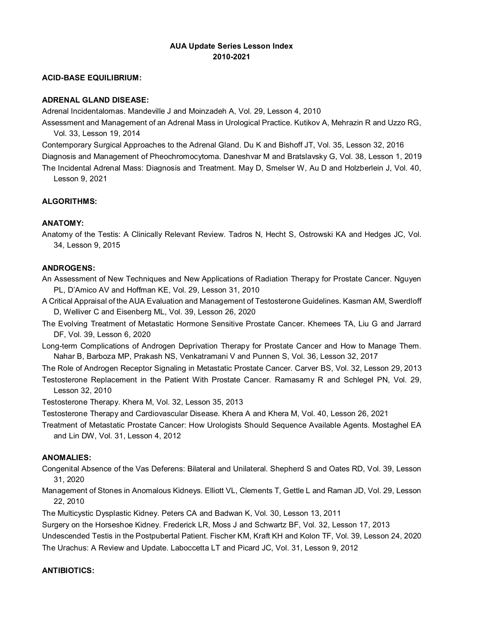# **AUA Update Series Lesson Index 2010-2021**

#### **ACID-BASE EQUILIBRIUM:**

#### **ADRENAL GLAND DISEASE:**

Adrenal Incidentalomas. Mandeville J and Moinzadeh A, Vol. 29, Lesson 4, 2010

Assessment and Management of an Adrenal Mass in Urological Practice. Kutikov A, Mehrazin R and Uzzo RG, Vol. 33, Lesson 19, 2014

Contemporary Surgical Approaches to the Adrenal Gland. Du K and Bishoff JT, Vol. 35, Lesson 32, 2016 Diagnosis and Management of Pheochromocytoma. Daneshvar M and Bratslavsky G, Vol. 38, Lesson 1, 2019 The Incidental Adrenal Mass: Diagnosis and Treatment. May D, Smelser W, Au D and Holzberlein J, Vol. 40,

Lesson 9, 2021

# **ALGORITHMS:**

### **ANATOMY:**

Anatomy of the Testis: A Clinically Relevant Review. Tadros N, Hecht S, Ostrowski KA and Hedges JC, Vol. 34, Lesson 9, 2015

#### **ANDROGENS:**

An Assessment of New Techniques and New Applications of Radiation Therapy for Prostate Cancer. Nguyen PL, D'Amico AV and Hoffman KE, Vol. 29, Lesson 31, 2010

A Critical Appraisal of the AUA Evaluation and Management of Testosterone Guidelines. Kasman AM, Swerdloff D, Welliver C and Eisenberg ML, Vol. 39, Lesson 26, 2020

The Evolving Treatment of Metastatic Hormone Sensitive Prostate Cancer. Khemees TA, Liu G and Jarrard DF, Vol. 39, Lesson 6, 2020

Long-term Complications of Androgen Deprivation Therapy for Prostate Cancer and How to Manage Them. Nahar B, Barboza MP, Prakash NS, Venkatramani V and Punnen S, Vol. 36, Lesson 32, 2017

The Role of Androgen Receptor Signaling in Metastatic Prostate Cancer. Carver BS, Vol. 32, Lesson 29, 2013 Testosterone Replacement in the Patient With Prostate Cancer. Ramasamy R and Schlegel PN, Vol. 29, Lesson 32, 2010

Testosterone Therapy. Khera M, Vol. 32, Lesson 35, 2013

Testosterone Therapy and Cardiovascular Disease. Khera A and Khera M, Vol. 40, Lesson 26, 2021

Treatment of Metastatic Prostate Cancer: How Urologists Should Sequence Available Agents. Mostaghel EA and Lin DW, Vol. 31, Lesson 4, 2012

#### **ANOMALIES:**

Congenital Absence of the Vas Deferens: Bilateral and Unilateral. Shepherd S and Oates RD, Vol. 39, Lesson 31, 2020

Management of Stones in Anomalous Kidneys. Elliott VL, Clements T, Gettle L and Raman JD, Vol. 29, Lesson 22, 2010

The Multicystic Dysplastic Kidney. Peters CA and Badwan K, Vol. 30, Lesson 13, 2011

Surgery on the Horseshoe Kidney. Frederick LR, Moss J and Schwartz BF, Vol. 32, Lesson 17, 2013

Undescended Testis in the Postpubertal Patient. Fischer KM, Kraft KH and Kolon TF, Vol. 39, Lesson 24, 2020

The Urachus: A Review and Update. Laboccetta LT and Picard JC, Vol. 31, Lesson 9, 2012

#### **ANTIBIOTICS:**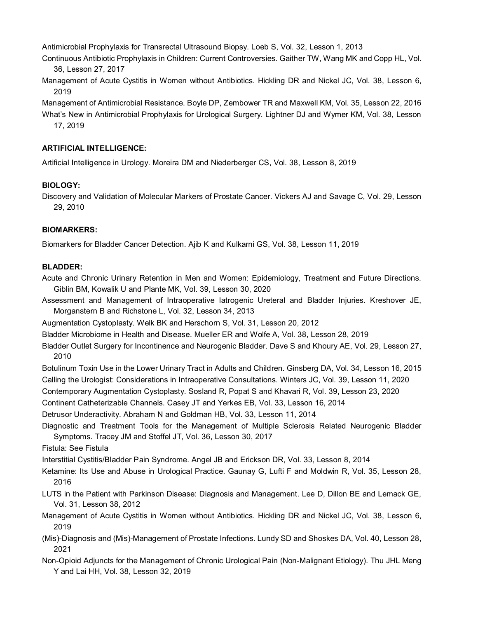Antimicrobial Prophylaxis for Transrectal Ultrasound Biopsy. Loeb S, Vol. 32, Lesson 1, 2013

Continuous Antibiotic Prophylaxis in Children: Current Controversies. Gaither TW, Wang MK and Copp HL, Vol. 36, Lesson 27, 2017

Management of Acute Cystitis in Women without Antibiotics. Hickling DR and Nickel JC, Vol. 38, Lesson 6, 2019

Management of Antimicrobial Resistance. Boyle DP, Zembower TR and Maxwell KM, Vol. 35, Lesson 22, 2016

What's New in Antimicrobial Prophylaxis for Urological Surgery. Lightner DJ and Wymer KM, Vol. 38, Lesson 17, 2019

# **ARTIFICIAL INTELLIGENCE:**

Artificial Intelligence in Urology. Moreira DM and Niederberger CS, Vol. 38, Lesson 8, 2019

# **BIOLOGY:**

Discovery and Validation of Molecular Markers of Prostate Cancer. Vickers AJ and Savage C, Vol. 29, Lesson 29, 2010

# **BIOMARKERS:**

Biomarkers for Bladder Cancer Detection. Ajib K and Kulkarni GS, Vol. 38, Lesson 11, 2019

### **BLADDER:**

Acute and Chronic Urinary Retention in Men and Women: Epidemiology, Treatment and Future Directions. Giblin BM, Kowalik U and Plante MK, Vol. 39, Lesson 30, 2020

Assessment and Management of Intraoperative Iatrogenic Ureteral and Bladder Injuries. Kreshover JE, Morganstern B and Richstone L, Vol. 32, Lesson 34, 2013

Augmentation Cystoplasty. Welk BK and Herschorn S, Vol. 31, Lesson 20, 2012

Bladder Microbiome in Health and Disease. Mueller ER and Wolfe A, Vol. 38, Lesson 28, 2019

Bladder Outlet Surgery for Incontinence and Neurogenic Bladder. Dave S and Khoury AE, Vol. 29, Lesson 27, 2010

Botulinum Toxin Use in the Lower Urinary Tract in Adults and Children. Ginsberg DA, Vol. 34, Lesson 16, 2015 Calling the Urologist: Considerations in Intraoperative Consultations. Winters JC, Vol. 39, Lesson 11, 2020

Contemporary Augmentation Cystoplasty. Sosland R, Popat S and Khavari R, Vol. 39, Lesson 23, 2020

Continent Catheterizable Channels. Casey JT and Yerkes EB, Vol. 33, Lesson 16, 2014

Detrusor Underactivity. Abraham N and Goldman HB, Vol. 33, Lesson 11, 2014

Diagnostic and Treatment Tools for the Management of Multiple Sclerosis Related Neurogenic Bladder Symptoms. Tracey JM and Stoffel JT, Vol. 36, Lesson 30, 2017

Fistula: See Fistula

Interstitial Cystitis/Bladder Pain Syndrome. Angel JB and Erickson DR, Vol. 33, Lesson 8, 2014

- Ketamine: Its Use and Abuse in Urological Practice. Gaunay G, Lufti F and Moldwin R, Vol. 35, Lesson 28, 2016
- LUTS in the Patient with Parkinson Disease: Diagnosis and Management. Lee D, Dillon BE and Lemack GE, Vol. 31, Lesson 38, 2012
- Management of Acute Cystitis in Women without Antibiotics. Hickling DR and Nickel JC, Vol. 38, Lesson 6, 2019
- (Mis)-Diagnosis and (Mis)-Management of Prostate Infections. Lundy SD and Shoskes DA, Vol. 40, Lesson 28, 2021
- Non-Opioid Adjuncts for the Management of Chronic Urological Pain (Non-Malignant Etiology). Thu JHL Meng Y and Lai HH, Vol. 38, Lesson 32, 2019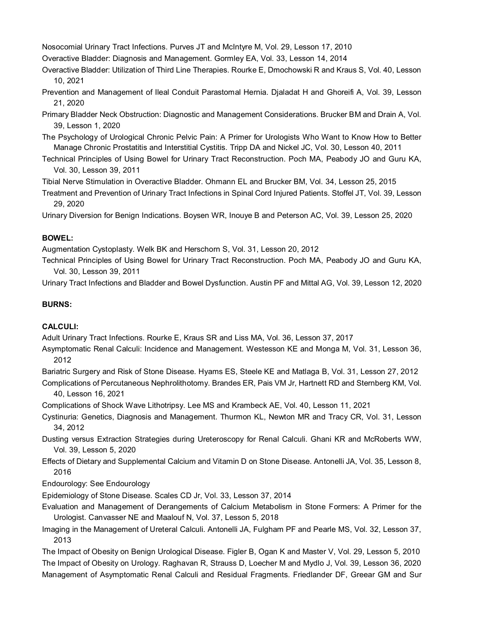Nosocomial Urinary Tract Infections. Purves JT and McIntyre M, Vol. 29, Lesson 17, 2010

- Overactive Bladder: Diagnosis and Management. Gormley EA, Vol. 33, Lesson 14, 2014
- Overactive Bladder: Utilization of Third Line Therapies. Rourke E, Dmochowski R and Kraus S, Vol. 40, Lesson 10, 2021
- Prevention and Management of Ileal Conduit Parastomal Hernia. Djaladat H and Ghoreifi A, Vol. 39, Lesson 21, 2020
- Primary Bladder Neck Obstruction: Diagnostic and Management Considerations. Brucker BM and Drain A, Vol. 39, Lesson 1, 2020
- The Psychology of Urological Chronic Pelvic Pain: A Primer for Urologists Who Want to Know How to Better Manage Chronic Prostatitis and Interstitial Cystitis. Tripp DA and Nickel JC, Vol. 30, Lesson 40, 2011
- Technical Principles of Using Bowel for Urinary Tract Reconstruction. Poch MA, Peabody JO and Guru KA, Vol. 30, Lesson 39, 2011

Tibial Nerve Stimulation in Overactive Bladder. Ohmann EL and Brucker BM, Vol. 34, Lesson 25, 2015

Treatment and Prevention of Urinary Tract Infections in Spinal Cord Injured Patients. Stoffel JT, Vol. 39, Lesson 29, 2020

Urinary Diversion for Benign Indications. Boysen WR, Inouye B and Peterson AC, Vol. 39, Lesson 25, 2020

# **BOWEL:**

Augmentation Cystoplasty. Welk BK and Herschorn S, Vol. 31, Lesson 20, 2012

Technical Principles of Using Bowel for Urinary Tract Reconstruction. Poch MA, Peabody JO and Guru KA, Vol. 30, Lesson 39, 2011

Urinary Tract Infections and Bladder and Bowel Dysfunction. Austin PF and Mittal AG, Vol. 39, Lesson 12, 2020

# **BURNS:**

### **CALCULI:**

Adult Urinary Tract Infections. Rourke E, Kraus SR and Liss MA, Vol. 36, Lesson 37, 2017

- Asymptomatic Renal Calculi: Incidence and Management. Westesson KE and Monga M, Vol. 31, Lesson 36, 2012
- Bariatric Surgery and Risk of Stone Disease. Hyams ES, Steele KE and Matlaga B, Vol. 31, Lesson 27, 2012
- Complications of Percutaneous Nephrolithotomy. Brandes ER, Pais VM Jr, Hartnett RD and Sternberg KM, Vol. 40, Lesson 16, 2021

Complications of Shock Wave Lithotripsy. Lee MS and Krambeck AE, Vol. 40, Lesson 11, 2021

- Cystinuria: Genetics, Diagnosis and Management. Thurmon KL, Newton MR and Tracy CR, Vol. 31, Lesson 34, 2012
- Dusting versus Extraction Strategies during Ureteroscopy for Renal Calculi. Ghani KR and McRoberts WW, Vol. 39, Lesson 5, 2020
- Effects of Dietary and Supplemental Calcium and Vitamin D on Stone Disease. Antonelli JA, Vol. 35, Lesson 8, 2016

Endourology: See Endourology

Epidemiology of Stone Disease. Scales CD Jr, Vol. 33, Lesson 37, 2014

Evaluation and Management of Derangements of Calcium Metabolism in Stone Formers: A Primer for the Urologist. Canvasser NE and Maalouf N, Vol. 37, Lesson 5, 2018

Imaging in the Management of Ureteral Calculi. Antonelli JA, Fulgham PF and Pearle MS, Vol. 32, Lesson 37, 2013

The Impact of Obesity on Benign Urological Disease. Figler B, Ogan K and Master V, Vol. 29, Lesson 5, 2010 The Impact of Obesity on Urology. Raghavan R, Strauss D, Loecher M and Mydlo J, Vol. 39, Lesson 36, 2020 Management of Asymptomatic Renal Calculi and Residual Fragments. Friedlander DF, Greear GM and Sur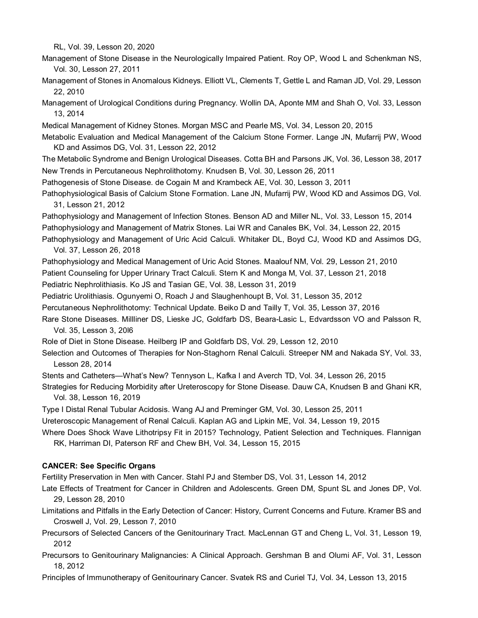RL, Vol. 39, Lesson 20, 2020

Management of Stone Disease in the Neurologically Impaired Patient. Roy OP, Wood L and Schenkman NS, Vol. 30, Lesson 27, 2011

Management of Stones in Anomalous Kidneys. Elliott VL, Clements T, Gettle L and Raman JD, Vol. 29, Lesson 22, 2010

Management of Urological Conditions during Pregnancy. Wollin DA, Aponte MM and Shah O, Vol. 33, Lesson 13, 2014

Medical Management of Kidney Stones. Morgan MSC and Pearle MS, Vol. 34, Lesson 20, 2015

Metabolic Evaluation and Medical Management of the Calcium Stone Former. Lange JN, Mufarrij PW, Wood KD and Assimos DG, Vol. 31, Lesson 22, 2012

The Metabolic Syndrome and Benign Urological Diseases. Cotta BH and Parsons JK, Vol. 36, Lesson 38, 2017 New Trends in Percutaneous Nephrolithotomy. Knudsen B, Vol. 30, Lesson 26, 2011

Pathogenesis of Stone Disease. de Cogain M and Krambeck AE, Vol. 30, Lesson 3, 2011

Pathophysiological Basis of Calcium Stone Formation. Lane JN, Mufarrij PW, Wood KD and Assimos DG, Vol. 31, Lesson 21, 2012

Pathophysiology and Management of Infection Stones. Benson AD and Miller NL, Vol. 33, Lesson 15, 2014 Pathophysiology and Management of Matrix Stones. Lai WR and Canales BK, Vol. 34, Lesson 22, 2015 Pathophysiology and Management of Uric Acid Calculi. Whitaker DL, Boyd CJ, Wood KD and Assimos DG,

Vol. 37, Lesson 26, 2018

Pathophysiology and Medical Management of Uric Acid Stones. Maalouf NM, Vol. 29, Lesson 21, 2010 Patient Counseling for Upper Urinary Tract Calculi. Stern K and Monga M, Vol. 37, Lesson 21, 2018

Pediatric Nephrolithiasis. Ko JS and Tasian GE, Vol. 38, Lesson 31, 2019

Pediatric Urolithiasis. Ogunyemi O, Roach J and Slaughenhoupt B, Vol. 31, Lesson 35, 2012

Percutaneous Nephrolithotomy: Technical Update. Beiko D and Tailly T, Vol. 35, Lesson 37, 2016

Rare Stone Diseases. Millliner DS, Lieske JC, Goldfarb DS, Beara-Lasic L, Edvardsson VO and Palsson R, Vol. 35, Lesson 3, 20l6

Role of Diet in Stone Disease. Heilberg IP and Goldfarb DS, Vol. 29, Lesson 12, 2010

Selection and Outcomes of Therapies for Non-Staghorn Renal Calculi. Streeper NM and Nakada SY, Vol. 33, Lesson 28, 2014

Stents and Catheters—What's New? Tennyson L, Kafka I and Averch TD, Vol. 34, Lesson 26, 2015

Strategies for Reducing Morbidity after Ureteroscopy for Stone Disease. Dauw CA, Knudsen B and Ghani KR, Vol. 38, Lesson 16, 2019

Type I Distal Renal Tubular Acidosis. Wang AJ and Preminger GM, Vol. 30, Lesson 25, 2011

Ureteroscopic Management of Renal Calculi. Kaplan AG and Lipkin ME, Vol. 34, Lesson 19, 2015

Where Does Shock Wave Lithotripsy Fit in 2015? Technology, Patient Selection and Techniques. Flannigan RK, Harriman DI, Paterson RF and Chew BH, Vol. 34, Lesson 15, 2015

#### **CANCER: See Specific Organs**

Fertility Preservation in Men with Cancer. Stahl PJ and Stember DS, Vol. 31, Lesson 14, 2012

- Late Effects of Treatment for Cancer in Children and Adolescents. Green DM, Spunt SL and Jones DP, Vol. 29, Lesson 28, 2010
- Limitations and Pitfalls in the Early Detection of Cancer: History, Current Concerns and Future. Kramer BS and Croswell J, Vol. 29, Lesson 7, 2010
- Precursors of Selected Cancers of the Genitourinary Tract. MacLennan GT and Cheng L, Vol. 31, Lesson 19, 2012
- Precursors to Genitourinary Malignancies: A Clinical Approach. Gershman B and Olumi AF, Vol. 31, Lesson 18, 2012

Principles of Immunotherapy of Genitourinary Cancer. Svatek RS and Curiel TJ, Vol. 34, Lesson 13, 2015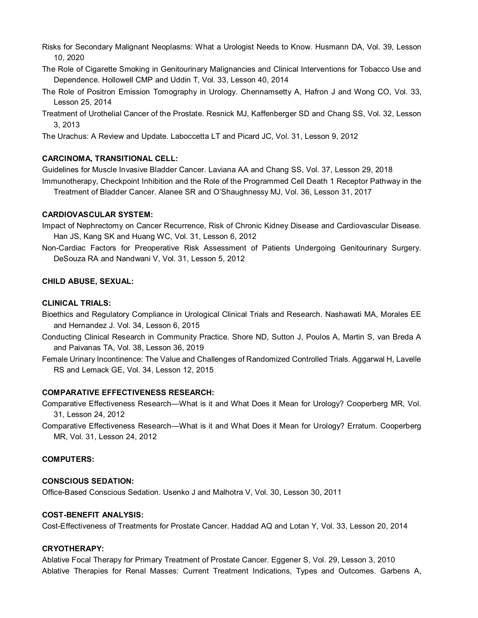Risks for Secondary Malignant Neoplasms: What a Urologist Needs to Know. Husmann DA, Vol. 39, Lesson 10, 2020

- The Role of Cigarette Smoking in Genitourinary Malignancies and Clinical Interventions for Tobacco Use and Dependence. Hollowell CMP and Uddin T, Vol. 33, Lesson 40, 2014
- The Role of Positron Emission Tomography in Urology. Chennamsetty A, Hafron J and Wong CO, Vol. 33, Lesson 25, 2014
- Treatment of Urothelial Cancer of the Prostate. Resnick MJ, Kaffenberger SD and Chang SS, Vol. 32, Lesson 3, 2013

The Urachus: A Review and Update. Laboccetta LT and Picard JC, Vol. 31, Lesson 9, 2012

### **CARCINOMA, TRANSITIONAL CELL:**

Guidelines for Muscle Invasive Bladder Cancer. Laviana AA and Chang SS, Vol. 37, Lesson 29, 2018 Immunotherapy, Checkpoint Inhibition and the Role of the Programmed Cell Death 1 Receptor Pathway in the

Treatment of Bladder Cancer. Alanee SR and O'Shaughnessy MJ, Vol. 36, Lesson 31, 2017

### **CARDIOVASCULAR SYSTEM:**

Impact of Nephrectomy on Cancer Recurrence, Risk of Chronic Kidney Disease and Cardiovascular Disease. Han JS, Kang SK and Huang WC, Vol. 31, Lesson 6, 2012

Non-Cardiac Factors for Preoperative Risk Assessment of Patients Undergoing Genitourinary Surgery. DeSouza RA and Nandwani V, Vol. 31, Lesson 5, 2012

# **CHILD ABUSE, SEXUAL:**

### **CLINICAL TRIALS:**

- Bioethics and Regulatory Compliance in Urological Clinical Trials and Research. Nashawati MA, Morales EE and Hernandez J. Vol. 34, Lesson 6, 2015
- Conducting Clinical Research in Community Practice. Shore ND, Sutton J, Poulos A, Martin S, van Breda A and Paivanas TA, Vol. 38, Lesson 36, 2019
- Female Urinary Incontinence: The Value and Challenges of Randomized Controlled Trials. Aggarwal H, Lavelle RS and Lemack GE, Vol. 34, Lesson 12, 2015

### **COMPARATIVE EFFECTIVENESS RESEARCH:**

Comparative Effectiveness Research—What is it and What Does it Mean for Urology? Cooperberg MR, Vol. 31, Lesson 24, 2012

Comparative Effectiveness Research—What is it and What Does it Mean for Urology? Erratum. Cooperberg MR, Vol. 31, Lesson 24, 2012

### **COMPUTERS:**

### **CONSCIOUS SEDATION:**

Office-Based Conscious Sedation. Usenko J and Malhotra V, Vol. 30, Lesson 30, 2011

### **COST-BENEFIT ANALYSIS:**

Cost-Effectiveness of Treatments for Prostate Cancer. Haddad AQ and Lotan Y, Vol. 33, Lesson 20, 2014

### **CRYOTHERAPY:**

Ablative Focal Therapy for Primary Treatment of Prostate Cancer. Eggener S, Vol. 29, Lesson 3, 2010 Ablative Therapies for Renal Masses: Current Treatment Indications, Types and Outcomes. Garbens A,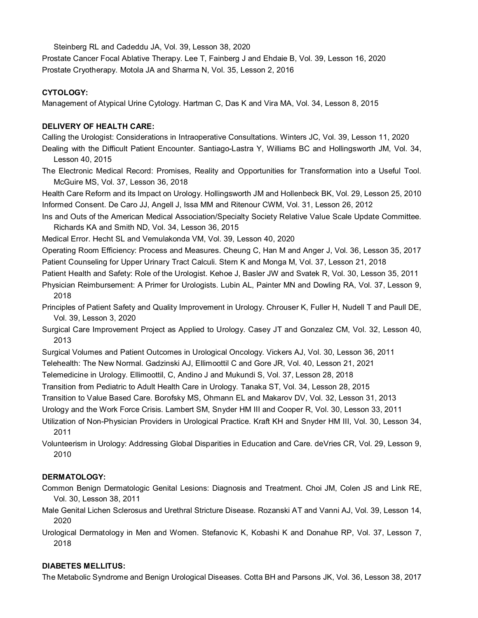Steinberg RL and Cadeddu JA, Vol. 39, Lesson 38, 2020 Prostate Cancer Focal Ablative Therapy. Lee T, Fainberg J and Ehdaie B, Vol. 39, Lesson 16, 2020

Prostate Cryotherapy. Motola JA and Sharma N, Vol. 35, Lesson 2, 2016

# **CYTOLOGY:**

Management of Atypical Urine Cytology. Hartman C, Das K and Vira MA, Vol. 34, Lesson 8, 2015

# **DELIVERY OF HEALTH CARE:**

Calling the Urologist: Considerations in Intraoperative Consultations. Winters JC, Vol. 39, Lesson 11, 2020

- Dealing with the Difficult Patient Encounter. Santiago-Lastra Y, Williams BC and Hollingsworth JM, Vol. 34, Lesson 40, 2015
- The Electronic Medical Record: Promises, Reality and Opportunities for Transformation into a Useful Tool. McGuire MS, Vol. 37, Lesson 36, 2018

Health Care Reform and its Impact on Urology. Hollingsworth JM and Hollenbeck BK, Vol. 29, Lesson 25, 2010 Informed Consent. De Caro JJ, Angell J, Issa MM and Ritenour CWM, Vol. 31, Lesson 26, 2012

Ins and Outs of the American Medical Association/Specialty Society Relative Value Scale Update Committee. Richards KA and Smith ND, Vol. 34, Lesson 36, 2015

Medical Error. Hecht SL and Vemulakonda VM, Vol. 39, Lesson 40, 2020

Operating Room Efficiency: Process and Measures. Cheung C, Han M and Anger J, Vol. 36, Lesson 35, 2017 Patient Counseling for Upper Urinary Tract Calculi. Stern K and Monga M, Vol. 37, Lesson 21, 2018

Patient Health and Safety: Role of the Urologist. Kehoe J, Basler JW and Svatek R, Vol. 30, Lesson 35, 2011

- Physician Reimbursement: A Primer for Urologists. Lubin AL, Painter MN and Dowling RA, Vol. 37, Lesson 9, 2018
- Principles of Patient Safety and Quality Improvement in Urology. Chrouser K, Fuller H, Nudell T and Paull DE, Vol. 39, Lesson 3, 2020
- Surgical Care Improvement Project as Applied to Urology. Casey JT and Gonzalez CM, Vol. 32, Lesson 40, 2013
- Surgical Volumes and Patient Outcomes in Urological Oncology. Vickers AJ, Vol. 30, Lesson 36, 2011

Telehealth: The New Normal. Gadzinski AJ, Ellimoottil C and Gore JR, Vol. 40, Lesson 21, 2021

Telemedicine in Urology. Ellimoottil, C, Andino J and Mukundi S, Vol. 37, Lesson 28, 2018

Transition from Pediatric to Adult Health Care in Urology. Tanaka ST, Vol. 34, Lesson 28, 2015

Transition to Value Based Care. Borofsky MS, Ohmann EL and Makarov DV, Vol. 32, Lesson 31, 2013

Urology and the Work Force Crisis. Lambert SM, Snyder HM III and Cooper R, Vol. 30, Lesson 33, 2011

- Utilization of Non-Physician Providers in Urological Practice. Kraft KH and Snyder HM III, Vol. 30, Lesson 34, 2011
- Volunteerism in Urology: Addressing Global Disparities in Education and Care. deVries CR, Vol. 29, Lesson 9, 2010

# **DERMATOLOGY:**

- Common Benign Dermatologic Genital Lesions: Diagnosis and Treatment. Choi JM, Colen JS and Link RE, Vol. 30, Lesson 38, 2011
- Male Genital Lichen Sclerosus and Urethral Stricture Disease. Rozanski AT and Vanni AJ, Vol. 39, Lesson 14, 2020
- Urological Dermatology in Men and Women. Stefanovic K, Kobashi K and Donahue RP, Vol. 37, Lesson 7, 2018

# **DIABETES MELLITUS:**

The Metabolic Syndrome and Benign Urological Diseases. Cotta BH and Parsons JK, Vol. 36, Lesson 38, 2017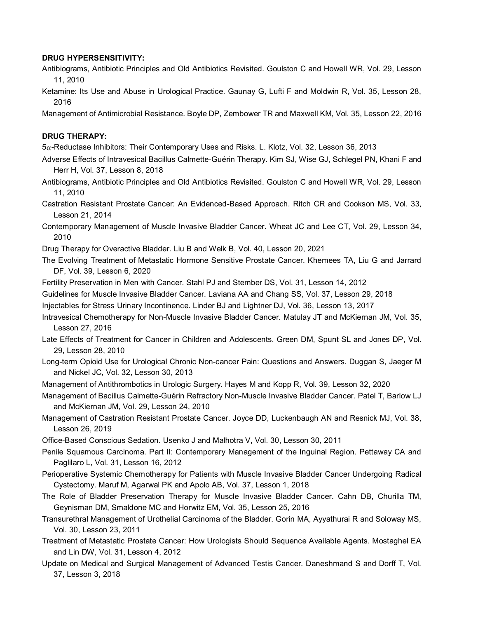#### **DRUG HYPERSENSITIVITY:**

- Antibiograms, Antibiotic Principles and Old Antibiotics Revisited. Goulston C and Howell WR, Vol. 29, Lesson 11, 2010
- Ketamine: Its Use and Abuse in Urological Practice. Gaunay G, Lufti F and Moldwin R, Vol. 35, Lesson 28, 2016

Management of Antimicrobial Resistance. Boyle DP, Zembower TR and Maxwell KM, Vol. 35, Lesson 22, 2016

### **DRUG THERAPY:**

5α-Reductase Inhibitors: Their Contemporary Uses and Risks. L. Klotz, Vol. 32, Lesson 36, 2013

- Adverse Effects of Intravesical Bacillus Calmette-Guérin Therapy. Kim SJ, Wise GJ, Schlegel PN, Khani F and Herr H, Vol. 37, Lesson 8, 2018
- Antibiograms, Antibiotic Principles and Old Antibiotics Revisited. Goulston C and Howell WR, Vol. 29, Lesson 11, 2010
- Castration Resistant Prostate Cancer: An Evidenced-Based Approach. Ritch CR and Cookson MS, Vol. 33, Lesson 21, 2014
- Contemporary Management of Muscle Invasive Bladder Cancer. Wheat JC and Lee CT, Vol. 29, Lesson 34, 2010

Drug Therapy for Overactive Bladder. Liu B and Welk B, Vol. 40, Lesson 20, 2021

- The Evolving Treatment of Metastatic Hormone Sensitive Prostate Cancer. Khemees TA, Liu G and Jarrard DF, Vol. 39, Lesson 6, 2020
- Fertility Preservation in Men with Cancer. Stahl PJ and Stember DS, Vol. 31, Lesson 14, 2012
- Guidelines for Muscle Invasive Bladder Cancer. Laviana AA and Chang SS, Vol. 37, Lesson 29, 2018
- Injectables for Stress Urinary Incontinence. Linder BJ and Lightner DJ, Vol. 36, Lesson 13, 2017
- Intravesical Chemotherapy for Non-Muscle Invasive Bladder Cancer. Matulay JT and McKiernan JM, Vol. 35, Lesson 27, 2016
- Late Effects of Treatment for Cancer in Children and Adolescents. Green DM, Spunt SL and Jones DP, Vol. 29, Lesson 28, 2010
- Long-term Opioid Use for Urological Chronic Non-cancer Pain: Questions and Answers. Duggan S, Jaeger M and Nickel JC, Vol. 32, Lesson 30, 2013
- Management of Antithrombotics in Urologic Surgery. Hayes M and Kopp R, Vol. 39, Lesson 32, 2020
- Management of Bacillus Calmette-Guérin Refractory Non-Muscle Invasive Bladder Cancer. Patel T, Barlow LJ and McKiernan JM, Vol. 29, Lesson 24, 2010
- Management of Castration Resistant Prostate Cancer. Joyce DD, Luckenbaugh AN and Resnick MJ, Vol. 38, Lesson 26, 2019
- Office-Based Conscious Sedation. Usenko J and Malhotra V, Vol. 30, Lesson 30, 2011
- Penile Squamous Carcinoma. Part II: Contemporary Management of the Inguinal Region. Pettaway CA and Paglilaro L, Vol. 31, Lesson 16, 2012
- Perioperative Systemic Chemotherapy for Patients with Muscle Invasive Bladder Cancer Undergoing Radical Cystectomy. Maruf M, Agarwal PK and Apolo AB, Vol. 37, Lesson 1, 2018
- The Role of Bladder Preservation Therapy for Muscle Invasive Bladder Cancer. Cahn DB, Churilla TM, Geynisman DM, Smaldone MC and Horwitz EM, Vol. 35, Lesson 25, 2016
- Transurethral Management of Urothelial Carcinoma of the Bladder. Gorin MA, Ayyathurai R and Soloway MS, Vol. 30, Lesson 23, 2011
- Treatment of Metastatic Prostate Cancer: How Urologists Should Sequence Available Agents. Mostaghel EA and Lin DW, Vol. 31, Lesson 4, 2012
- Update on Medical and Surgical Management of Advanced Testis Cancer. Daneshmand S and Dorff T, Vol. 37, Lesson 3, 2018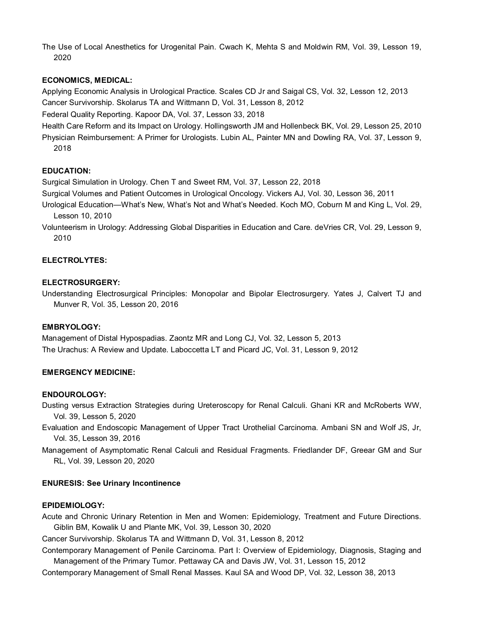The Use of Local Anesthetics for Urogenital Pain. Cwach K, Mehta S and Moldwin RM, Vol. 39, Lesson 19, 2020

#### **ECONOMICS, MEDICAL:**

Applying Economic Analysis in Urological Practice. Scales CD Jr and Saigal CS, Vol. 32, Lesson 12, 2013 Cancer Survivorship. Skolarus TA and Wittmann D, Vol. 31, Lesson 8, 2012

Federal Quality Reporting. Kapoor DA, Vol. 37, Lesson 33, 2018

Health Care Reform and its Impact on Urology. Hollingsworth JM and Hollenbeck BK, Vol. 29, Lesson 25, 2010 Physician Reimbursement: A Primer for Urologists. Lubin AL, Painter MN and Dowling RA, Vol. 37, Lesson 9, 2018

#### **EDUCATION:**

Surgical Simulation in Urology. Chen T and Sweet RM, Vol. 37, Lesson 22, 2018

Surgical Volumes and Patient Outcomes in Urological Oncology. Vickers AJ, Vol. 30, Lesson 36, 2011

Urological Education—What's New, What's Not and What's Needed. Koch MO, Coburn M and King L, Vol. 29, Lesson 10, 2010

Volunteerism in Urology: Addressing Global Disparities in Education and Care. deVries CR, Vol. 29, Lesson 9, 2010

#### **ELECTROLYTES:**

#### **ELECTROSURGERY:**

Understanding Electrosurgical Principles: Monopolar and Bipolar Electrosurgery. Yates J, Calvert TJ and Munver R, Vol. 35, Lesson 20, 2016

#### **EMBRYOLOGY:**

Management of Distal Hypospadias. Zaontz MR and Long CJ, Vol. 32, Lesson 5, 2013 The Urachus: A Review and Update. Laboccetta LT and Picard JC, Vol. 31, Lesson 9, 2012

### **EMERGENCY MEDICINE:**

### **ENDOUROLOGY:**

Dusting versus Extraction Strategies during Ureteroscopy for Renal Calculi. Ghani KR and McRoberts WW, Vol. 39, Lesson 5, 2020

Evaluation and Endoscopic Management of Upper Tract Urothelial Carcinoma. Ambani SN and Wolf JS, Jr, Vol. 35, Lesson 39, 2016

Management of Asymptomatic Renal Calculi and Residual Fragments. Friedlander DF, Greear GM and Sur RL, Vol. 39, Lesson 20, 2020

#### **ENURESIS: See Urinary Incontinence**

### **EPIDEMIOLOGY:**

Acute and Chronic Urinary Retention in Men and Women: Epidemiology, Treatment and Future Directions. Giblin BM, Kowalik U and Plante MK, Vol. 39, Lesson 30, 2020

Cancer Survivorship. Skolarus TA and Wittmann D, Vol. 31, Lesson 8, 2012

Contemporary Management of Penile Carcinoma. Part I: Overview of Epidemiology, Diagnosis, Staging and Management of the Primary Tumor. Pettaway CA and Davis JW, Vol. 31, Lesson 15, 2012

Contemporary Management of Small Renal Masses. Kaul SA and Wood DP, Vol. 32, Lesson 38, 2013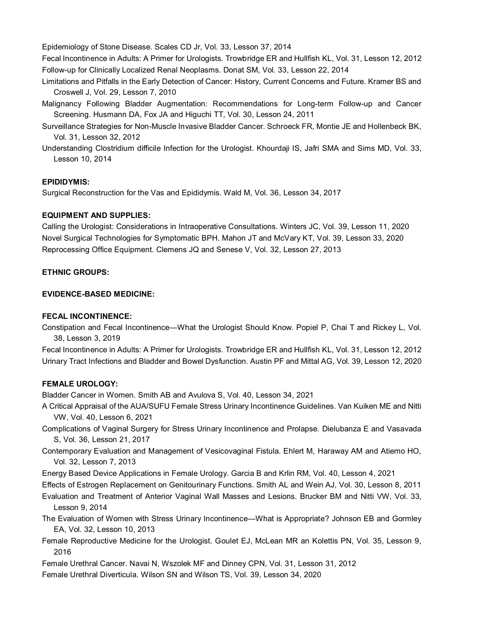Epidemiology of Stone Disease. Scales CD Jr, Vol. 33, Lesson 37, 2014

Fecal Incontinence in Adults: A Primer for Urologists. Trowbridge ER and Hullfish KL, Vol. 31, Lesson 12, 2012 Follow-up for Clinically Localized Renal Neoplasms. Donat SM, Vol. 33, Lesson 22, 2014

- Limitations and Pitfalls in the Early Detection of Cancer: History, Current Concerns and Future. Kramer BS and Croswell J, Vol. 29, Lesson 7, 2010
- Malignancy Following Bladder Augmentation: Recommendations for Long-term Follow-up and Cancer Screening. Husmann DA, Fox JA and Higuchi TT, Vol. 30, Lesson 24, 2011
- Surveillance Strategies for Non-Muscle Invasive Bladder Cancer. Schroeck FR, Montie JE and Hollenbeck BK, Vol. 31, Lesson 32, 2012
- Understanding Clostridium difficile Infection for the Urologist. Khourdaji IS, Jafri SMA and Sims MD, Vol. 33, Lesson 10, 2014

#### **EPIDIDYMIS:**

Surgical Reconstruction for the Vas and Epididymis. Wald M, Vol. 36, Lesson 34, 2017

#### **EQUIPMENT AND SUPPLIES:**

Calling the Urologist: Considerations in Intraoperative Consultations. Winters JC, Vol. 39, Lesson 11, 2020 Novel Surgical Technologies for Symptomatic BPH. Mahon JT and McVary KT, Vol. 39, Lesson 33, 2020 Reprocessing Office Equipment. Clemens JQ and Senese V, Vol. 32, Lesson 27, 2013

#### **ETHNIC GROUPS:**

#### **EVIDENCE-BASED MEDICINE:**

#### **FECAL INCONTINENCE:**

Constipation and Fecal Incontinence—What the Urologist Should Know. Popiel P, Chai T and Rickey L, Vol. 38, Lesson 3, 2019

Fecal Incontinence in Adults: A Primer for Urologists. Trowbridge ER and Hullfish KL, Vol. 31, Lesson 12, 2012 Urinary Tract Infections and Bladder and Bowel Dysfunction. Austin PF and Mittal AG, Vol. 39, Lesson 12, 2020

### **FEMALE UROLOGY:**

Bladder Cancer in Women. Smith AB and Avulova S, Vol. 40, Lesson 34, 2021

- A Critical Appraisal of the AUA/SUFU Female Stress Urinary Incontinence Guidelines. Van Kuiken ME and Nitti VW, Vol. 40, Lesson 6, 2021
- Complications of Vaginal Surgery for Stress Urinary Incontinence and Prolapse. Dielubanza E and Vasavada S, Vol. 36, Lesson 21, 2017
- Contemporary Evaluation and Management of Vesicovaginal Fistula. Ehlert M, Haraway AM and Atiemo HO, Vol. 32, Lesson 7, 2013
- Energy Based Device Applications in Female Urology. Garcia B and Krlin RM, Vol. 40, Lesson 4, 2021
- Effects of Estrogen Replacement on Genitourinary Functions. Smith AL and Wein AJ, Vol. 30, Lesson 8, 2011
- Evaluation and Treatment of Anterior Vaginal Wall Masses and Lesions. Brucker BM and Nitti VW, Vol. 33, Lesson 9, 2014
- The Evaluation of Women with Stress Urinary Incontinence—What is Appropriate? Johnson EB and Gormley EA, Vol. 32, Lesson 10, 2013
- Female Reproductive Medicine for the Urologist. Goulet EJ, McLean MR an Kolettis PN, Vol. 35, Lesson 9, 2016
- Female Urethral Cancer. Navai N, Wszolek MF and Dinney CPN, Vol. 31, Lesson 31, 2012
- Female Urethral Diverticula. Wilson SN and Wilson TS, Vol. 39, Lesson 34, 2020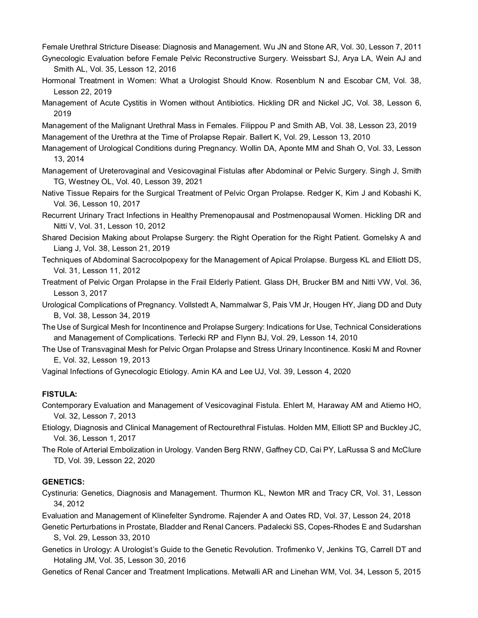Female Urethral Stricture Disease: Diagnosis and Management. Wu JN and Stone AR, Vol. 30, Lesson 7, 2011

- Gynecologic Evaluation before Female Pelvic Reconstructive Surgery. Weissbart SJ, Arya LA, Wein AJ and Smith AL, Vol. 35, Lesson 12, 2016
- Hormonal Treatment in Women: What a Urologist Should Know. Rosenblum N and Escobar CM, Vol. 38, Lesson 22, 2019
- Management of Acute Cystitis in Women without Antibiotics. Hickling DR and Nickel JC, Vol. 38, Lesson 6, 2019
- Management of the Malignant Urethral Mass in Females. Filippou P and Smith AB, Vol. 38, Lesson 23, 2019 Management of the Urethra at the Time of Prolapse Repair. Ballert K, Vol. 29, Lesson 13, 2010
- Management of Urological Conditions during Pregnancy. Wollin DA, Aponte MM and Shah O, Vol. 33, Lesson 13, 2014
- Management of Ureterovaginal and Vesicovaginal Fistulas after Abdominal or Pelvic Surgery. Singh J, Smith TG, Westney OL, Vol. 40, Lesson 39, 2021
- Native Tissue Repairs for the Surgical Treatment of Pelvic Organ Prolapse. Redger K, Kim J and Kobashi K, Vol. 36, Lesson 10, 2017
- Recurrent Urinary Tract Infections in Healthy Premenopausal and Postmenopausal Women. Hickling DR and Nitti V, Vol. 31, Lesson 10, 2012
- Shared Decision Making about Prolapse Surgery: the Right Operation for the Right Patient. Gomelsky A and Liang J, Vol. 38, Lesson 21, 2019
- Techniques of Abdominal Sacrocolpopexy for the Management of Apical Prolapse. Burgess KL and Elliott DS, Vol. 31, Lesson 11, 2012
- Treatment of Pelvic Organ Prolapse in the Frail Elderly Patient. Glass DH, Brucker BM and Nitti VW, Vol. 36, Lesson 3, 2017
- Urological Complications of Pregnancy. Vollstedt A, Nammalwar S, Pais VM Jr, Hougen HY, Jiang DD and Duty B, Vol. 38, Lesson 34, 2019
- The Use of Surgical Mesh for Incontinence and Prolapse Surgery: Indications for Use, Technical Considerations and Management of Complications. Terlecki RP and Flynn BJ, Vol. 29, Lesson 14, 2010
- The Use of Transvaginal Mesh for Pelvic Organ Prolapse and Stress Urinary Incontinence. Koski M and Rovner E, Vol. 32, Lesson 19, 2013
- Vaginal Infections of Gynecologic Etiology. Amin KA and Lee UJ, Vol. 39, Lesson 4, 2020

#### **FISTULA:**

- Contemporary Evaluation and Management of Vesicovaginal Fistula. Ehlert M, Haraway AM and Atiemo HO, Vol. 32, Lesson 7, 2013
- Etiology, Diagnosis and Clinical Management of Rectourethral Fistulas. Holden MM, Elliott SP and Buckley JC, Vol. 36, Lesson 1, 2017
- The Role of Arterial Embolization in Urology. Vanden Berg RNW, Gaffney CD, Cai PY, LaRussa S and McClure TD, Vol. 39, Lesson 22, 2020

#### **GENETICS:**

- Cystinuria: Genetics, Diagnosis and Management. Thurmon KL, Newton MR and Tracy CR, Vol. 31, Lesson 34, 2012
- Evaluation and Management of Klinefelter Syndrome. Rajender A and Oates RD, Vol. 37, Lesson 24, 2018
- Genetic Perturbations in Prostate, Bladder and Renal Cancers. Padalecki SS, Copes-Rhodes E and Sudarshan S, Vol. 29, Lesson 33, 2010
- Genetics in Urology: A Urologist's Guide to the Genetic Revolution. Trofimenko V, Jenkins TG, Carrell DT and Hotaling JM, Vol. 35, Lesson 30, 2016
- Genetics of Renal Cancer and Treatment Implications. Metwalli AR and Linehan WM, Vol. 34, Lesson 5, 2015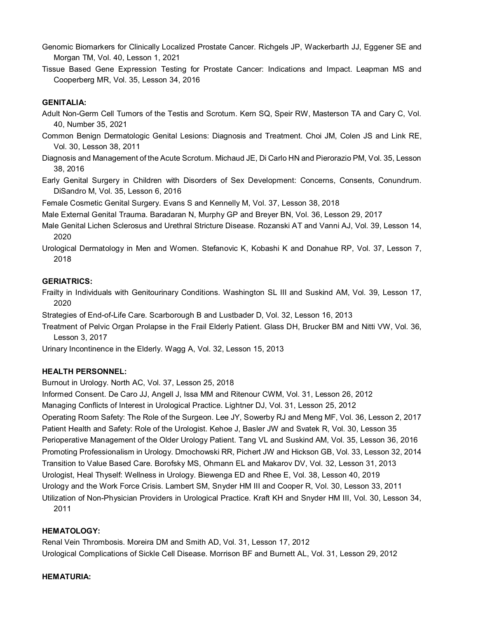- Genomic Biomarkers for Clinically Localized Prostate Cancer. Richgels JP, Wackerbarth JJ, Eggener SE and Morgan TM, Vol. 40, Lesson 1, 2021
- Tissue Based Gene Expression Testing for Prostate Cancer: Indications and Impact. Leapman MS and Cooperberg MR, Vol. 35, Lesson 34, 2016

# **GENITALIA:**

- Adult Non-Germ Cell Tumors of the Testis and Scrotum. Kern SQ, Speir RW, Masterson TA and Cary C, Vol. 40, Number 35, 2021
- Common Benign Dermatologic Genital Lesions: Diagnosis and Treatment. Choi JM, Colen JS and Link RE, Vol. 30, Lesson 38, 2011
- Diagnosis and Management of the Acute Scrotum. Michaud JE, Di Carlo HN and Pierorazio PM, Vol. 35, Lesson 38, 2016
- Early Genital Surgery in Children with Disorders of Sex Development: Concerns, Consents, Conundrum. DiSandro M, Vol. 35, Lesson 6, 2016

Female Cosmetic Genital Surgery. Evans S and Kennelly M, Vol. 37, Lesson 38, 2018

- Male External Genital Trauma. Baradaran N, Murphy GP and Breyer BN, Vol. 36, Lesson 29, 2017
- Male Genital Lichen Sclerosus and Urethral Stricture Disease. Rozanski AT and Vanni AJ, Vol. 39, Lesson 14, 2020
- Urological Dermatology in Men and Women. Stefanovic K, Kobashi K and Donahue RP, Vol. 37, Lesson 7, 2018

### **GERIATRICS:**

Frailty in Individuals with Genitourinary Conditions. Washington SL III and Suskind AM, Vol. 39, Lesson 17, 2020

- Strategies of End-of-Life Care. Scarborough B and Lustbader D, Vol. 32, Lesson 16, 2013
- Treatment of Pelvic Organ Prolapse in the Frail Elderly Patient. Glass DH, Brucker BM and Nitti VW, Vol. 36, Lesson 3, 2017

Urinary Incontinence in the Elderly. Wagg A, Vol. 32, Lesson 15, 2013

### **HEALTH PERSONNEL:**

Burnout in Urology. North AC, Vol. 37, Lesson 25, 2018

Informed Consent. De Caro JJ, Angell J, Issa MM and Ritenour CWM, Vol. 31, Lesson 26, 2012

Managing Conflicts of Interest in Urological Practice. Lightner DJ, Vol. 31, Lesson 25, 2012

Operating Room Safety: The Role of the Surgeon. Lee JY, Sowerby RJ and Meng MF, Vol. 36, Lesson 2, 2017 Patient Health and Safety: Role of the Urologist. Kehoe J, Basler JW and Svatek R, Vol. 30, Lesson 35 Perioperative Management of the Older Urology Patient. Tang VL and Suskind AM, Vol. 35, Lesson 36, 2016 Promoting Professionalism in Urology. Dmochowski RR, Pichert JW and Hickson GB, Vol. 33, Lesson 32, 2014 Transition to Value Based Care. Borofsky MS, Ohmann EL and Makarov DV, Vol. 32, Lesson 31, 2013 Urologist, Heal Thyself: Wellness in Urology. Biewenga ED and Rhee E, Vol. 38, Lesson 40, 2019 Urology and the Work Force Crisis. Lambert SM, Snyder HM III and Cooper R, Vol. 30, Lesson 33, 2011 Utilization of Non-Physician Providers in Urological Practice. Kraft KH and Snyder HM III, Vol. 30, Lesson 34, 2011

#### **HEMATOLOGY:**

Renal Vein Thrombosis. Moreira DM and Smith AD, Vol. 31, Lesson 17, 2012 Urological Complications of Sickle Cell Disease. Morrison BF and Burnett AL, Vol. 31, Lesson 29, 2012

#### **HEMATURIA:**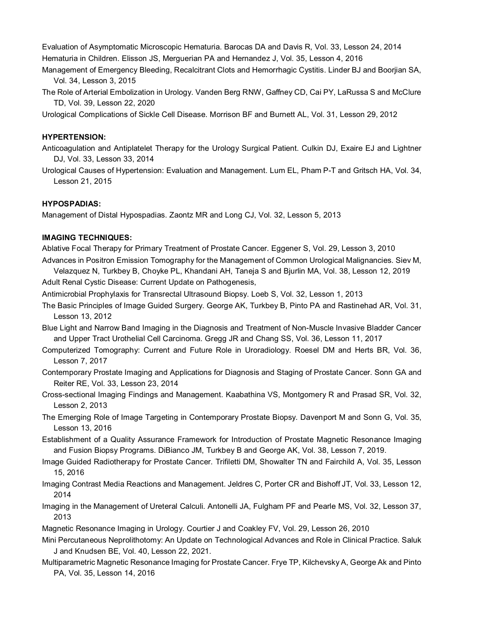Evaluation of Asymptomatic Microscopic Hematuria. Barocas DA and Davis R, Vol. 33, Lesson 24, 2014 Hematuria in Children. Elisson JS, Merguerian PA and Hernandez J, Vol. 35, Lesson 4, 2016

Management of Emergency Bleeding, Recalcitrant Clots and Hemorrhagic Cystitis. Linder BJ and Boorjian SA, Vol. 34, Lesson 3, 2015

The Role of Arterial Embolization in Urology. Vanden Berg RNW, Gaffney CD, Cai PY, LaRussa S and McClure TD, Vol. 39, Lesson 22, 2020

Urological Complications of Sickle Cell Disease. Morrison BF and Burnett AL, Vol. 31, Lesson 29, 2012

#### **HYPERTENSION:**

Anticoagulation and Antiplatelet Therapy for the Urology Surgical Patient. Culkin DJ, Exaire EJ and Lightner DJ, Vol. 33, Lesson 33, 2014

Urological Causes of Hypertension: Evaluation and Management. Lum EL, Pham P-T and Gritsch HA, Vol. 34, Lesson 21, 2015

#### **HYPOSPADIAS:**

Management of Distal Hypospadias. Zaontz MR and Long CJ, Vol. 32, Lesson 5, 2013

#### **IMAGING TECHNIQUES:**

Ablative Focal Therapy for Primary Treatment of Prostate Cancer. Eggener S, Vol. 29, Lesson 3, 2010 Advances in Positron Emission Tomography for the Management of Common Urological Malignancies. Siev M,

Velazquez N, Turkbey B, Choyke PL, Khandani AH, Taneja S and Bjurlin MA, Vol. 38, Lesson 12, 2019 Adult Renal Cystic Disease: Current Update on Pathogenesis,

Antimicrobial Prophylaxis for Transrectal Ultrasound Biopsy. Loeb S, Vol. 32, Lesson 1, 2013

- The Basic Principles of Image Guided Surgery. George AK, Turkbey B, Pinto PA and Rastinehad AR, Vol. 31, Lesson 13, 2012
- Blue Light and Narrow Band Imaging in the Diagnosis and Treatment of Non-Muscle Invasive Bladder Cancer and Upper Tract Urothelial Cell Carcinoma. Gregg JR and Chang SS, Vol. 36, Lesson 11, 2017
- Computerized Tomography: Current and Future Role in Uroradiology. Roesel DM and Herts BR, Vol. 36, Lesson 7, 2017
- Contemporary Prostate Imaging and Applications for Diagnosis and Staging of Prostate Cancer. Sonn GA and Reiter RE, Vol. 33, Lesson 23, 2014
- Cross-sectional Imaging Findings and Management. Kaabathina VS, Montgomery R and Prasad SR, Vol. 32, Lesson 2, 2013
- The Emerging Role of Image Targeting in Contemporary Prostate Biopsy. Davenport M and Sonn G, Vol. 35, Lesson 13, 2016
- Establishment of a Quality Assurance Framework for Introduction of Prostate Magnetic Resonance Imaging and Fusion Biopsy Programs. DiBianco JM, Turkbey B and George AK, Vol. 38, Lesson 7, 2019.
- Image Guided Radiotherapy for Prostate Cancer. Trifiletti DM, Showalter TN and Fairchild A, Vol. 35, Lesson 15, 2016
- Imaging Contrast Media Reactions and Management. Jeldres C, Porter CR and Bishoff JT, Vol. 33, Lesson 12, 2014
- Imaging in the Management of Ureteral Calculi. Antonelli JA, Fulgham PF and Pearle MS, Vol. 32, Lesson 37, 2013
- Magnetic Resonance Imaging in Urology. Courtier J and Coakley FV, Vol. 29, Lesson 26, 2010
- Mini Percutaneous Neprolithotomy: An Update on Technological Advances and Role in Clinical Practice. Saluk J and Knudsen BE, Vol. 40, Lesson 22, 2021.
- Multiparametric Magnetic Resonance Imaging for Prostate Cancer. Frye TP, Kilchevsky A, George Ak and Pinto PA, Vol. 35, Lesson 14, 2016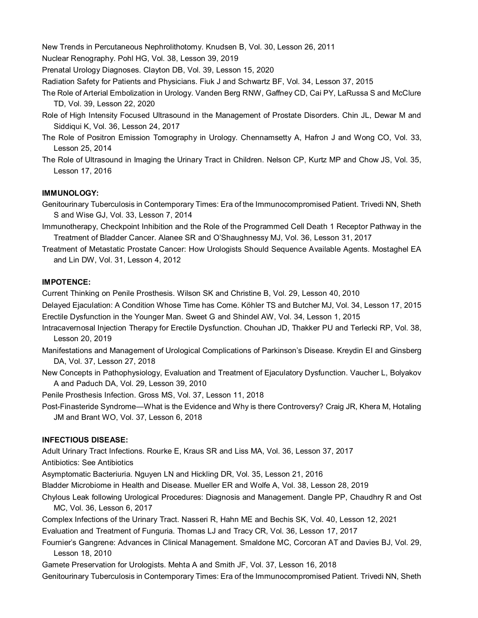New Trends in Percutaneous Nephrolithotomy. Knudsen B, Vol. 30, Lesson 26, 2011

Nuclear Renography. Pohl HG, Vol. 38, Lesson 39, 2019

Prenatal Urology Diagnoses. Clayton DB, Vol. 39, Lesson 15, 2020

Radiation Safety for Patients and Physicians. Fiuk J and Schwartz BF, Vol. 34, Lesson 37, 2015

- The Role of Arterial Embolization in Urology. Vanden Berg RNW, Gaffney CD, Cai PY, LaRussa S and McClure TD, Vol. 39, Lesson 22, 2020
- Role of High Intensity Focused Ultrasound in the Management of Prostate Disorders. Chin JL, Dewar M and Siddiqui K, Vol. 36, Lesson 24, 2017
- The Role of Positron Emission Tomography in Urology. Chennamsetty A, Hafron J and Wong CO, Vol. 33, Lesson 25, 2014
- The Role of Ultrasound in Imaging the Urinary Tract in Children. Nelson CP, Kurtz MP and Chow JS, Vol. 35, Lesson 17, 2016

# **IMMUNOLOGY:**

- Genitourinary Tuberculosis in Contemporary Times: Era of the Immunocompromised Patient. Trivedi NN, Sheth S and Wise GJ, Vol. 33, Lesson 7, 2014
- Immunotherapy, Checkpoint Inhibition and the Role of the Programmed Cell Death 1 Receptor Pathway in the Treatment of Bladder Cancer. Alanee SR and O'Shaughnessy MJ, Vol. 36, Lesson 31, 2017
- Treatment of Metastatic Prostate Cancer: How Urologists Should Sequence Available Agents. Mostaghel EA and Lin DW, Vol. 31, Lesson 4, 2012

### **IMPOTENCE:**

Current Thinking on Penile Prosthesis. Wilson SK and Christine B, Vol. 29, Lesson 40, 2010

- Delayed Ejaculation: A Condition Whose Time has Come. Köhler TS and Butcher MJ, Vol. 34, Lesson 17, 2015 Erectile Dysfunction in the Younger Man. Sweet G and Shindel AW, Vol. 34, Lesson 1, 2015
- Intracavernosal Injection Therapy for Erectile Dysfunction. Chouhan JD, Thakker PU and Terlecki RP, Vol. 38, Lesson 20, 2019
- Manifestations and Management of Urological Complications of Parkinson's Disease. Kreydin EI and Ginsberg DA, Vol. 37, Lesson 27, 2018
- New Concepts in Pathophysiology, Evaluation and Treatment of Ejaculatory Dysfunction. Vaucher L, Bolyakov A and Paduch DA, Vol. 29, Lesson 39, 2010

Penile Prosthesis Infection. Gross MS, Vol. 37, Lesson 11, 2018

Post-Finasteride Syndrome—What is the Evidence and Why is there Controversy? Craig JR, Khera M, Hotaling JM and Brant WO, Vol. 37, Lesson 6, 2018

### **INFECTIOUS DISEASE:**

Adult Urinary Tract Infections. Rourke E, Kraus SR and Liss MA, Vol. 36, Lesson 37, 2017

Antibiotics: See Antibiotics

Asymptomatic Bacteriuria. Nguyen LN and Hickling DR, Vol. 35, Lesson 21, 2016

Bladder Microbiome in Health and Disease. Mueller ER and Wolfe A, Vol. 38, Lesson 28, 2019

- Chylous Leak following Urological Procedures: Diagnosis and Management. Dangle PP, Chaudhry R and Ost MC, Vol. 36, Lesson 6, 2017
- Complex Infections of the Urinary Tract. Nasseri R, Hahn ME and Bechis SK, Vol. 40, Lesson 12, 2021

Evaluation and Treatment of Funguria. Thomas LJ and Tracy CR, Vol. 36, Lesson 17, 2017

Fournier's Gangrene: Advances in Clinical Management. Smaldone MC, Corcoran AT and Davies BJ, Vol. 29, Lesson 18, 2010

Gamete Preservation for Urologists. Mehta A and Smith JF, Vol. 37, Lesson 16, 2018

Genitourinary Tuberculosis in Contemporary Times: Era of the Immunocompromised Patient. Trivedi NN, Sheth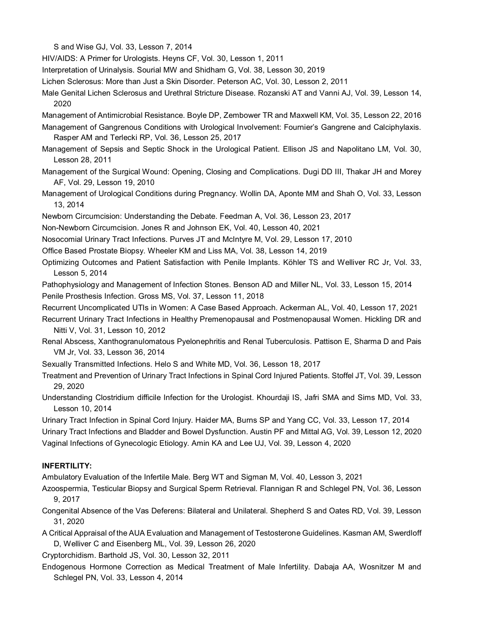S and Wise GJ, Vol. 33, Lesson 7, 2014

HIV/AIDS: A Primer for Urologists. Heyns CF, Vol. 30, Lesson 1, 2011

Interpretation of Urinalysis. Sourial MW and Shidham G, Vol. 38, Lesson 30, 2019

Lichen Sclerosus: More than Just a Skin Disorder. Peterson AC, Vol. 30, Lesson 2, 2011

Male Genital Lichen Sclerosus and Urethral Stricture Disease. Rozanski AT and Vanni AJ, Vol. 39, Lesson 14, 2020

Management of Antimicrobial Resistance. Boyle DP, Zembower TR and Maxwell KM, Vol. 35, Lesson 22, 2016

- Management of Gangrenous Conditions with Urological Involvement: Fournier's Gangrene and Calciphylaxis. Rasper AM and Terlecki RP, Vol. 36, Lesson 25, 2017
- Management of Sepsis and Septic Shock in the Urological Patient. Ellison JS and Napolitano LM, Vol. 30, Lesson 28, 2011
- Management of the Surgical Wound: Opening, Closing and Complications. Dugi DD III, Thakar JH and Morey AF, Vol. 29, Lesson 19, 2010
- Management of Urological Conditions during Pregnancy. Wollin DA, Aponte MM and Shah O, Vol. 33, Lesson 13, 2014
- Newborn Circumcision: Understanding the Debate. Feedman A, Vol. 36, Lesson 23, 2017

Non-Newborn Circumcision. Jones R and Johnson EK, Vol. 40, Lesson 40, 2021

- Nosocomial Urinary Tract Infections. Purves JT and McIntyre M, Vol. 29, Lesson 17, 2010
- Office Based Prostate Biopsy. Wheeler KM and Liss MA, Vol. 38, Lesson 14, 2019
- Optimizing Outcomes and Patient Satisfaction with Penile Implants. Köhler TS and Welliver RC Jr, Vol. 33, Lesson 5, 2014

Pathophysiology and Management of Infection Stones. Benson AD and Miller NL, Vol. 33, Lesson 15, 2014 Penile Prosthesis Infection. Gross MS, Vol. 37, Lesson 11, 2018

Recurrent Uncomplicated UTIs in Women: A Case Based Approach. Ackerman AL, Vol. 40, Lesson 17, 2021

Recurrent Urinary Tract Infections in Healthy Premenopausal and Postmenopausal Women. Hickling DR and Nitti V, Vol. 31, Lesson 10, 2012

Renal Abscess, Xanthogranulomatous Pyelonephritis and Renal Tuberculosis. Pattison E, Sharma D and Pais VM Jr, Vol. 33, Lesson 36, 2014

Sexually Transmitted Infections. Helo S and White MD, Vol. 36, Lesson 18, 2017

Treatment and Prevention of Urinary Tract Infections in Spinal Cord Injured Patients. Stoffel JT, Vol. 39, Lesson 29, 2020

Understanding Clostridium difficile Infection for the Urologist. Khourdaji IS, Jafri SMA and Sims MD, Vol. 33, Lesson 10, 2014

Urinary Tract Infection in Spinal Cord Injury. Haider MA, Burns SP and Yang CC, Vol. 33, Lesson 17, 2014 Urinary Tract Infections and Bladder and Bowel Dysfunction. Austin PF and Mittal AG, Vol. 39, Lesson 12, 2020 Vaginal Infections of Gynecologic Etiology. Amin KA and Lee UJ, Vol. 39, Lesson 4, 2020

### **INFERTILITY:**

Ambulatory Evaluation of the Infertile Male. Berg WT and Sigman M, Vol. 40, Lesson 3, 2021

- Azoospermia, Testicular Biopsy and Surgical Sperm Retrieval. Flannigan R and Schlegel PN, Vol. 36, Lesson 9, 2017
- Congenital Absence of the Vas Deferens: Bilateral and Unilateral. Shepherd S and Oates RD, Vol. 39, Lesson 31, 2020
- A Critical Appraisal of the AUA Evaluation and Management of Testosterone Guidelines. Kasman AM, Swerdloff D, Welliver C and Eisenberg ML, Vol. 39, Lesson 26, 2020

Cryptorchidism. Barthold JS, Vol. 30, Lesson 32, 2011

Endogenous Hormone Correction as Medical Treatment of Male Infertility. Dabaja AA, Wosnitzer M and Schlegel PN, Vol. 33, Lesson 4, 2014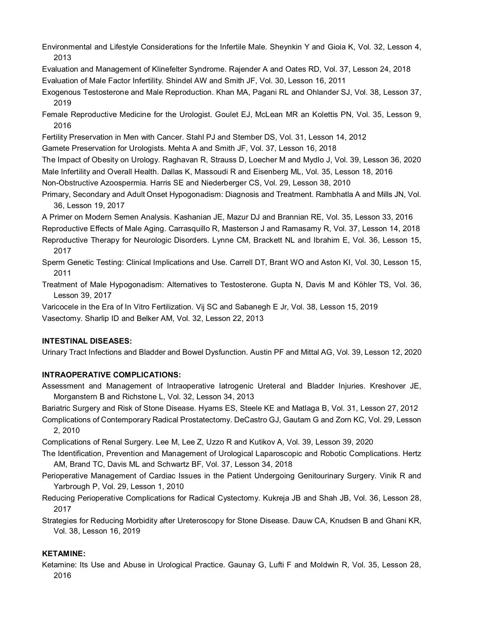- Environmental and Lifestyle Considerations for the Infertile Male. Sheynkin Y and Gioia K, Vol. 32, Lesson 4, 2013
- Evaluation and Management of Klinefelter Syndrome. Rajender A and Oates RD, Vol. 37, Lesson 24, 2018 Evaluation of Male Factor Infertility. Shindel AW and Smith JF, Vol. 30, Lesson 16, 2011
- Exogenous Testosterone and Male Reproduction. Khan MA, Pagani RL and Ohlander SJ, Vol. 38, Lesson 37, 2019
- Female Reproductive Medicine for the Urologist. Goulet EJ, McLean MR an Kolettis PN, Vol. 35, Lesson 9, 2016
- Fertility Preservation in Men with Cancer. Stahl PJ and Stember DS, Vol. 31, Lesson 14, 2012
- Gamete Preservation for Urologists. Mehta A and Smith JF, Vol. 37, Lesson 16, 2018
- The Impact of Obesity on Urology. Raghavan R, Strauss D, Loecher M and Mydlo J, Vol. 39, Lesson 36, 2020 Male Infertility and Overall Health. Dallas K, Massoudi R and Eisenberg ML, Vol. 35, Lesson 18, 2016 Non-Obstructive Azoospermia. Harris SE and Niederberger CS, Vol. 29, Lesson 38, 2010
- Primary, Secondary and Adult Onset Hypogonadism: Diagnosis and Treatment. Rambhatla A and Mills JN, Vol. 36, Lesson 19, 2017
- A Primer on Modern Semen Analysis. Kashanian JE, Mazur DJ and Brannian RE, Vol. 35, Lesson 33, 2016
- Reproductive Effects of Male Aging. Carrasquillo R, Masterson J and Ramasamy R, Vol. 37, Lesson 14, 2018
- Reproductive Therapy for Neurologic Disorders. Lynne CM, Brackett NL and Ibrahim E, Vol. 36, Lesson 15, 2017
- Sperm Genetic Testing: Clinical Implications and Use. Carrell DT, Brant WO and Aston KI, Vol. 30, Lesson 15, 2011
- Treatment of Male Hypogonadism: Alternatives to Testosterone. Gupta N, Davis M and Köhler TS, Vol. 36, Lesson 39, 2017
- Varicocele in the Era of In Vitro Fertilization. Vij SC and Sabanegh E Jr, Vol. 38, Lesson 15, 2019 Vasectomy. Sharlip ID and Belker AM, Vol. 32, Lesson 22, 2013

### **INTESTINAL DISEASES:**

Urinary Tract Infections and Bladder and Bowel Dysfunction. Austin PF and Mittal AG, Vol. 39, Lesson 12, 2020

# **INTRAOPERATIVE COMPLICATIONS:**

- Assessment and Management of Intraoperative Iatrogenic Ureteral and Bladder Injuries. Kreshover JE, Morganstern B and Richstone L, Vol. 32, Lesson 34, 2013
- Bariatric Surgery and Risk of Stone Disease. Hyams ES, Steele KE and Matlaga B, Vol. 31, Lesson 27, 2012
- Complications of Contemporary Radical Prostatectomy. DeCastro GJ, Gautam G and Zorn KC, Vol. 29, Lesson 2, 2010

Complications of Renal Surgery. Lee M, Lee Z, Uzzo R and Kutikov A, Vol. 39, Lesson 39, 2020

- The Identification, Prevention and Management of Urological Laparoscopic and Robotic Complications. Hertz AM, Brand TC, Davis ML and Schwartz BF, Vol. 37, Lesson 34, 2018
- Perioperative Management of Cardiac Issues in the Patient Undergoing Genitourinary Surgery. Vinik R and Yarbrough P, Vol. 29, Lesson 1, 2010
- Reducing Perioperative Complications for Radical Cystectomy. Kukreja JB and Shah JB, Vol. 36, Lesson 28, 2017
- Strategies for Reducing Morbidity after Ureteroscopy for Stone Disease. Dauw CA, Knudsen B and Ghani KR, Vol. 38, Lesson 16, 2019

# **KETAMINE:**

Ketamine: Its Use and Abuse in Urological Practice. Gaunay G, Lufti F and Moldwin R, Vol. 35, Lesson 28, 2016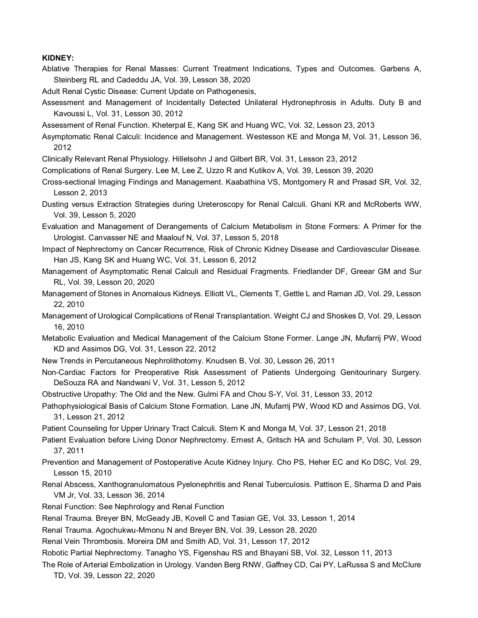#### **KIDNEY:**

Ablative Therapies for Renal Masses: Current Treatment Indications, Types and Outcomes. Garbens A, Steinberg RL and Cadeddu JA, Vol. 39, Lesson 38, 2020

Adult Renal Cystic Disease: Current Update on Pathogenesis,

- Assessment and Management of Incidentally Detected Unilateral Hydronephrosis in Adults. Duty B and Kavoussi L, Vol. 31, Lesson 30, 2012
- Assessment of Renal Function. Kheterpal E, Kang SK and Huang WC, Vol. 32, Lesson 23, 2013
- Asymptomatic Renal Calculi: Incidence and Management. Westesson KE and Monga M, Vol. 31, Lesson 36, 2012
- Clinically Relevant Renal Physiology. Hillelsohn J and Gilbert BR, Vol. 31, Lesson 23, 2012
- Complications of Renal Surgery. Lee M, Lee Z, Uzzo R and Kutikov A, Vol. 39, Lesson 39, 2020
- Cross-sectional Imaging Findings and Management. Kaabathina VS, Montgomery R and Prasad SR, Vol. 32, Lesson 2, 2013
- Dusting versus Extraction Strategies during Ureteroscopy for Renal Calculi. Ghani KR and McRoberts WW, Vol. 39, Lesson 5, 2020
- Evaluation and Management of Derangements of Calcium Metabolism in Stone Formers: A Primer for the Urologist. Canvasser NE and Maalouf N, Vol. 37, Lesson 5, 2018
- Impact of Nephrectomy on Cancer Recurrence, Risk of Chronic Kidney Disease and Cardiovascular Disease. Han JS, Kang SK and Huang WC, Vol. 31, Lesson 6, 2012
- Management of Asymptomatic Renal Calculi and Residual Fragments. Friedlander DF, Greear GM and Sur RL, Vol. 39, Lesson 20, 2020
- Management of Stones in Anomalous Kidneys. Elliott VL, Clements T, Gettle L and Raman JD, Vol. 29, Lesson 22, 2010
- Management of Urological Complications of Renal Transplantation. Weight CJ and Shoskes D, Vol. 29, Lesson 16, 2010
- Metabolic Evaluation and Medical Management of the Calcium Stone Former. Lange JN, Mufarrij PW, Wood KD and Assimos DG, Vol. 31, Lesson 22, 2012
- New Trends in Percutaneous Nephrolithotomy. Knudsen B, Vol. 30, Lesson 26, 2011
- Non-Cardiac Factors for Preoperative Risk Assessment of Patients Undergoing Genitourinary Surgery. DeSouza RA and Nandwani V, Vol. 31, Lesson 5, 2012
- Obstructive Uropathy: The Old and the New. Gulmi FA and Chou S-Y, Vol. 31, Lesson 33, 2012
- Pathophysiological Basis of Calcium Stone Formation. Lane JN, Mufarrij PW, Wood KD and Assimos DG, Vol. 31, Lesson 21, 2012
- Patient Counseling for Upper Urinary Tract Calculi. Stern K and Monga M, Vol. 37, Lesson 21, 2018
- Patient Evaluation before Living Donor Nephrectomy. Ernest A, Gritsch HA and Schulam P, Vol. 30, Lesson 37, 2011
- Prevention and Management of Postoperative Acute Kidney Injury. Cho PS, Heher EC and Ko DSC, Vol. 29, Lesson 15, 2010
- Renal Abscess, Xanthogranulomatous Pyelonephritis and Renal Tuberculosis. Pattison E, Sharma D and Pais VM Jr, Vol. 33, Lesson 36, 2014
- Renal Function: See Nephrology and Renal Function
- Renal Trauma. Breyer BN, McGeady JB, Kovell C and Tasian GE, Vol. 33, Lesson 1, 2014
- Renal Trauma. Agochukwu-Mmonu N and Breyer BN, Vol. 39, Lesson 28, 2020
- Renal Vein Thrombosis. Moreira DM and Smith AD, Vol. 31, Lesson 17, 2012
- Robotic Partial Nephrectomy. Tanagho YS, Figenshau RS and Bhayani SB, Vol. 32, Lesson 11, 2013
- The Role of Arterial Embolization in Urology. Vanden Berg RNW, Gaffney CD, Cai PY, LaRussa S and McClure TD, Vol. 39, Lesson 22, 2020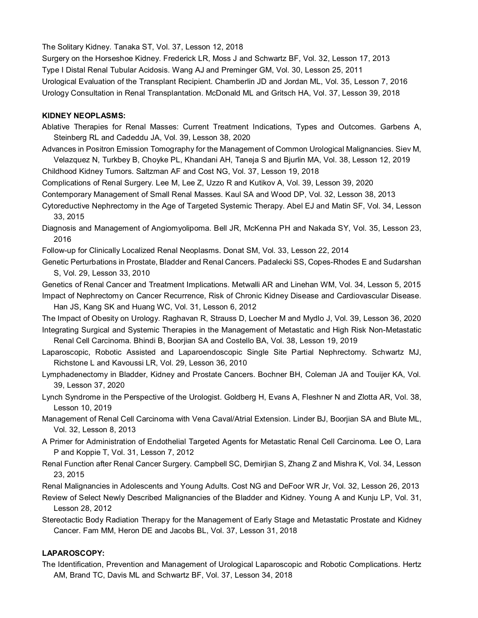The Solitary Kidney. Tanaka ST, Vol. 37, Lesson 12, 2018

Surgery on the Horseshoe Kidney. Frederick LR, Moss J and Schwartz BF, Vol. 32, Lesson 17, 2013 Type I Distal Renal Tubular Acidosis. Wang AJ and Preminger GM, Vol. 30, Lesson 25, 2011 Urological Evaluation of the Transplant Recipient. Chamberlin JD and Jordan ML, Vol. 35, Lesson 7, 2016 Urology Consultation in Renal Transplantation. McDonald ML and Gritsch HA, Vol. 37, Lesson 39, 2018

# **KIDNEY NEOPLASMS:**

- Ablative Therapies for Renal Masses: Current Treatment Indications, Types and Outcomes. Garbens A, Steinberg RL and Cadeddu JA, Vol. 39, Lesson 38, 2020
- Advances in Positron Emission Tomography for the Management of Common Urological Malignancies. Siev M, Velazquez N, Turkbey B, Choyke PL, Khandani AH, Taneja S and Bjurlin MA, Vol. 38, Lesson 12, 2019

Childhood Kidney Tumors. Saltzman AF and Cost NG, Vol. 37, Lesson 19, 2018

- Complications of Renal Surgery. Lee M, Lee Z, Uzzo R and Kutikov A, Vol. 39, Lesson 39, 2020
- Contemporary Management of Small Renal Masses. Kaul SA and Wood DP, Vol. 32, Lesson 38, 2013
- Cytoreductive Nephrectomy in the Age of Targeted Systemic Therapy. Abel EJ and Matin SF, Vol. 34, Lesson 33, 2015
- Diagnosis and Management of Angiomyolipoma. Bell JR, McKenna PH and Nakada SY, Vol. 35, Lesson 23, 2016
- Follow-up for Clinically Localized Renal Neoplasms. Donat SM, Vol. 33, Lesson 22, 2014
- Genetic Perturbations in Prostate, Bladder and Renal Cancers. Padalecki SS, Copes-Rhodes E and Sudarshan S, Vol. 29, Lesson 33, 2010

Genetics of Renal Cancer and Treatment Implications. Metwalli AR and Linehan WM, Vol. 34, Lesson 5, 2015 Impact of Nephrectomy on Cancer Recurrence, Risk of Chronic Kidney Disease and Cardiovascular Disease.

Han JS, Kang SK and Huang WC, Vol. 31, Lesson 6, 2012

The Impact of Obesity on Urology. Raghavan R, Strauss D, Loecher M and Mydlo J, Vol. 39, Lesson 36, 2020 Integrating Surgical and Systemic Therapies in the Management of Metastatic and High Risk Non-Metastatic Renal Cell Carcinoma. Bhindi B, Boorjian SA and Costello BA, Vol. 38, Lesson 19, 2019

- Laparoscopic, Robotic Assisted and Laparoendoscopic Single Site Partial Nephrectomy. Schwartz MJ, Richstone L and Kavoussi LR, Vol. 29, Lesson 36, 2010
- Lymphadenectomy in Bladder, Kidney and Prostate Cancers. Bochner BH, Coleman JA and Touijer KA, Vol. 39, Lesson 37, 2020
- Lynch Syndrome in the Perspective of the Urologist. Goldberg H, Evans A, Fleshner N and Zlotta AR, Vol. 38, Lesson 10, 2019
- Management of Renal Cell Carcinoma with Vena Caval/Atrial Extension. Linder BJ, Boorjian SA and Blute ML, Vol. 32, Lesson 8, 2013
- A Primer for Administration of Endothelial Targeted Agents for Metastatic Renal Cell Carcinoma. Lee O, Lara P and Koppie T, Vol. 31, Lesson 7, 2012
- Renal Function after Renal Cancer Surgery. Campbell SC, Demirjian S, Zhang Z and Mishra K, Vol. 34, Lesson 23, 2015

Renal Malignancies in Adolescents and Young Adults. Cost NG and DeFoor WR Jr, Vol. 32, Lesson 26, 2013

- Review of Select Newly Described Malignancies of the Bladder and Kidney. Young A and Kunju LP, Vol. 31, Lesson 28, 2012
- Stereotactic Body Radiation Therapy for the Management of Early Stage and Metastatic Prostate and Kidney Cancer. Fam MM, Heron DE and Jacobs BL, Vol. 37, Lesson 31, 2018

# **LAPAROSCOPY:**

The Identification, Prevention and Management of Urological Laparoscopic and Robotic Complications. Hertz AM, Brand TC, Davis ML and Schwartz BF, Vol. 37, Lesson 34, 2018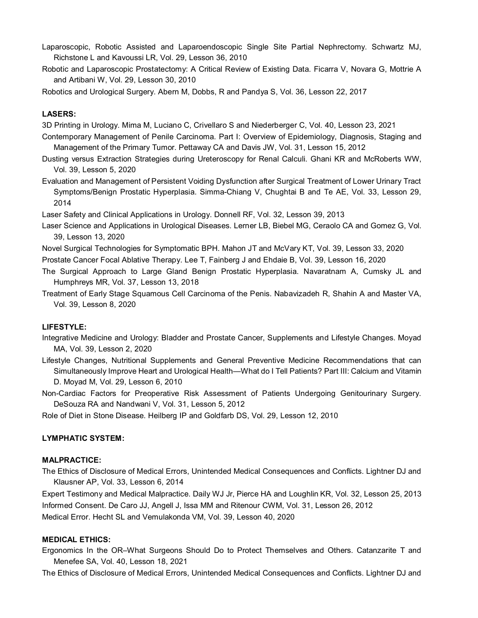- Laparoscopic, Robotic Assisted and Laparoendoscopic Single Site Partial Nephrectomy. Schwartz MJ, Richstone L and Kavoussi LR, Vol. 29, Lesson 36, 2010
- Robotic and Laparoscopic Prostatectomy: A Critical Review of Existing Data. Ficarra V, Novara G, Mottrie A and Artibani W, Vol. 29, Lesson 30, 2010

Robotics and Urological Surgery. Abern M, Dobbs, R and Pandya S, Vol. 36, Lesson 22, 2017

#### **LASERS:**

3D Printing in Urology. Mima M, Luciano C, Crivellaro S and Niederberger C, Vol. 40, Lesson 23, 2021

- Contemporary Management of Penile Carcinoma. Part I: Overview of Epidemiology, Diagnosis, Staging and Management of the Primary Tumor. Pettaway CA and Davis JW, Vol. 31, Lesson 15, 2012
- Dusting versus Extraction Strategies during Ureteroscopy for Renal Calculi. Ghani KR and McRoberts WW, Vol. 39, Lesson 5, 2020
- Evaluation and Management of Persistent Voiding Dysfunction after Surgical Treatment of Lower Urinary Tract Symptoms/Benign Prostatic Hyperplasia. Simma-Chiang V, Chughtai B and Te AE, Vol. 33, Lesson 29, 2014

Laser Safety and Clinical Applications in Urology. Donnell RF, Vol. 32, Lesson 39, 2013

- Laser Science and Applications in Urological Diseases. Lerner LB, Biebel MG, Ceraolo CA and Gomez G, Vol. 39, Lesson 13, 2020
- Novel Surgical Technologies for Symptomatic BPH. Mahon JT and McVary KT, Vol. 39, Lesson 33, 2020
- Prostate Cancer Focal Ablative Therapy. Lee T, Fainberg J and Ehdaie B, Vol. 39, Lesson 16, 2020
- The Surgical Approach to Large Gland Benign Prostatic Hyperplasia. Navaratnam A, Cumsky JL and Humphreys MR, Vol. 37, Lesson 13, 2018
- Treatment of Early Stage Squamous Cell Carcinoma of the Penis. Nabavizadeh R, Shahin A and Master VA, Vol. 39, Lesson 8, 2020

#### **LIFESTYLE:**

- Integrative Medicine and Urology: Bladder and Prostate Cancer, Supplements and Lifestyle Changes. Moyad MA, Vol. 39, Lesson 2, 2020
- Lifestyle Changes, Nutritional Supplements and General Preventive Medicine Recommendations that can Simultaneously Improve Heart and Urological Health—What do I Tell Patients? Part III: Calcium and Vitamin D. Moyad M, Vol. 29, Lesson 6, 2010
- Non-Cardiac Factors for Preoperative Risk Assessment of Patients Undergoing Genitourinary Surgery. DeSouza RA and Nandwani V, Vol. 31, Lesson 5, 2012
- Role of Diet in Stone Disease. Heilberg IP and Goldfarb DS, Vol. 29, Lesson 12, 2010

#### **LYMPHATIC SYSTEM:**

#### **MALPRACTICE:**

The Ethics of Disclosure of Medical Errors, Unintended Medical Consequences and Conflicts. Lightner DJ and Klausner AP, Vol. 33, Lesson 6, 2014

Expert Testimony and Medical Malpractice. Daily WJ Jr, Pierce HA and Loughlin KR, Vol. 32, Lesson 25, 2013 Informed Consent. De Caro JJ, Angell J, Issa MM and Ritenour CWM, Vol. 31, Lesson 26, 2012 Medical Error. Hecht SL and Vemulakonda VM, Vol. 39, Lesson 40, 2020

#### **MEDICAL ETHICS:**

Ergonomics In the OR–What Surgeons Should Do to Protect Themselves and Others. Catanzarite T and Menefee SA, Vol. 40, Lesson 18, 2021

The Ethics of Disclosure of Medical Errors, Unintended Medical Consequences and Conflicts. Lightner DJ and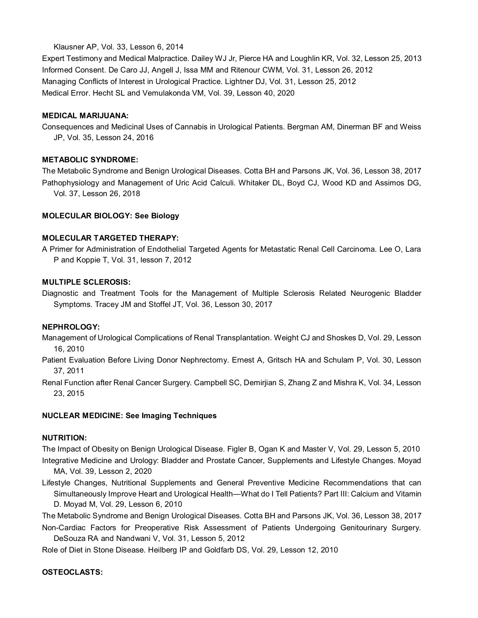### Klausner AP, Vol. 33, Lesson 6, 2014

Expert Testimony and Medical Malpractice. Dailey WJ Jr, Pierce HA and Loughlin KR, Vol. 32, Lesson 25, 2013 Informed Consent. De Caro JJ, Angell J, Issa MM and Ritenour CWM, Vol. 31, Lesson 26, 2012 Managing Conflicts of Interest in Urological Practice. Lightner DJ, Vol. 31, Lesson 25, 2012 Medical Error. Hecht SL and Vemulakonda VM, Vol. 39, Lesson 40, 2020

#### **MEDICAL MARIJUANA:**

Consequences and Medicinal Uses of Cannabis in Urological Patients. Bergman AM, Dinerman BF and Weiss JP, Vol. 35, Lesson 24, 2016

#### **METABOLIC SYNDROME:**

The Metabolic Syndrome and Benign Urological Diseases. Cotta BH and Parsons JK, Vol. 36, Lesson 38, 2017 Pathophysiology and Management of Uric Acid Calculi. Whitaker DL, Boyd CJ, Wood KD and Assimos DG, Vol. 37, Lesson 26, 2018

#### **MOLECULAR BIOLOGY: See Biology**

#### **MOLECULAR TARGETED THERAPY:**

A Primer for Administration of Endothelial Targeted Agents for Metastatic Renal Cell Carcinoma. Lee O, Lara P and Koppie T, Vol. 31, lesson 7, 2012

#### **MULTIPLE SCLEROSIS:**

Diagnostic and Treatment Tools for the Management of Multiple Sclerosis Related Neurogenic Bladder Symptoms. Tracey JM and Stoffel JT, Vol. 36, Lesson 30, 2017

#### **NEPHROLOGY:**

Management of Urological Complications of Renal Transplantation. Weight CJ and Shoskes D, Vol. 29, Lesson 16, 2010

Patient Evaluation Before Living Donor Nephrectomy. Ernest A, Gritsch HA and Schulam P, Vol. 30, Lesson 37, 2011

Renal Function after Renal Cancer Surgery. Campbell SC, Demirjian S, Zhang Z and Mishra K, Vol. 34, Lesson 23, 2015

#### **NUCLEAR MEDICINE: See Imaging Techniques**

### **NUTRITION:**

The Impact of Obesity on Benign Urological Disease. Figler B, Ogan K and Master V, Vol. 29, Lesson 5, 2010 Integrative Medicine and Urology: Bladder and Prostate Cancer, Supplements and Lifestyle Changes. Moyad MA, Vol. 39, Lesson 2, 2020

Lifestyle Changes, Nutritional Supplements and General Preventive Medicine Recommendations that can Simultaneously Improve Heart and Urological Health—What do I Tell Patients? Part III: Calcium and Vitamin D. Moyad M, Vol. 29, Lesson 6, 2010

The Metabolic Syndrome and Benign Urological Diseases. Cotta BH and Parsons JK, Vol. 36, Lesson 38, 2017 Non-Cardiac Factors for Preoperative Risk Assessment of Patients Undergoing Genitourinary Surgery.

DeSouza RA and Nandwani V, Vol. 31, Lesson 5, 2012

Role of Diet in Stone Disease. Heilberg IP and Goldfarb DS, Vol. 29, Lesson 12, 2010

**OSTEOCLASTS:**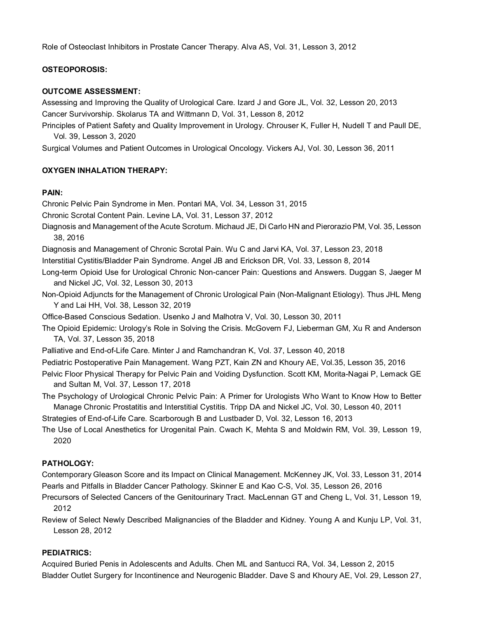Role of Osteoclast Inhibitors in Prostate Cancer Therapy. Alva AS, Vol. 31, Lesson 3, 2012

## **OSTEOPOROSIS:**

#### **OUTCOME ASSESSMENT:**

Assessing and Improving the Quality of Urological Care. Izard J and Gore JL, Vol. 32, Lesson 20, 2013 Cancer Survivorship. Skolarus TA and Wittmann D, Vol. 31, Lesson 8, 2012

Principles of Patient Safety and Quality Improvement in Urology. Chrouser K, Fuller H, Nudell T and Paull DE, Vol. 39, Lesson 3, 2020

Surgical Volumes and Patient Outcomes in Urological Oncology. Vickers AJ, Vol. 30, Lesson 36, 2011

#### **OXYGEN INHALATION THERAPY:**

## **PAIN:**

Chronic Pelvic Pain Syndrome in Men. Pontari MA, Vol. 34, Lesson 31, 2015

Chronic Scrotal Content Pain. Levine LA, Vol. 31, Lesson 37, 2012

Diagnosis and Management of the Acute Scrotum. Michaud JE, Di Carlo HN and Pierorazio PM, Vol. 35, Lesson 38, 2016

Diagnosis and Management of Chronic Scrotal Pain. Wu C and Jarvi KA, Vol. 37, Lesson 23, 2018

Interstitial Cystitis/Bladder Pain Syndrome. Angel JB and Erickson DR, Vol. 33, Lesson 8, 2014

- Long-term Opioid Use for Urological Chronic Non-cancer Pain: Questions and Answers. Duggan S, Jaeger M and Nickel JC, Vol. 32, Lesson 30, 2013
- Non-Opioid Adjuncts for the Management of Chronic Urological Pain (Non-Malignant Etiology). Thus JHL Meng Y and Lai HH, Vol. 38, Lesson 32, 2019
- Office-Based Conscious Sedation. Usenko J and Malhotra V, Vol. 30, Lesson 30, 2011
- The Opioid Epidemic: Urology's Role in Solving the Crisis. McGovern FJ, Lieberman GM, Xu R and Anderson TA, Vol. 37, Lesson 35, 2018
- Palliative and End-of-Life Care. Minter J and Ramchandran K, Vol. 37, Lesson 40, 2018
- Pediatric Postoperative Pain Management. Wang PZT, Kain ZN and Khoury AE, Vol.35, Lesson 35, 2016
- Pelvic Floor Physical Therapy for Pelvic Pain and Voiding Dysfunction. Scott KM, Morita-Nagai P, Lemack GE and Sultan M, Vol. 37, Lesson 17, 2018
- The Psychology of Urological Chronic Pelvic Pain: A Primer for Urologists Who Want to Know How to Better Manage Chronic Prostatitis and Interstitial Cystitis. Tripp DA and Nickel JC, Vol. 30, Lesson 40, 2011

Strategies of End-of-Life Care. Scarborough B and Lustbader D, Vol. 32, Lesson 16, 2013

The Use of Local Anesthetics for Urogenital Pain. Cwach K, Mehta S and Moldwin RM, Vol. 39, Lesson 19, 2020

### **PATHOLOGY:**

Contemporary Gleason Score and its Impact on Clinical Management. McKenney JK, Vol. 33, Lesson 31, 2014 Pearls and Pitfalls in Bladder Cancer Pathology. Skinner E and Kao C-S, Vol. 35, Lesson 26, 2016

Precursors of Selected Cancers of the Genitourinary Tract. MacLennan GT and Cheng L, Vol. 31, Lesson 19, 2012

Review of Select Newly Described Malignancies of the Bladder and Kidney. Young A and Kunju LP, Vol. 31, Lesson 28, 2012

# **PEDIATRICS:**

Acquired Buried Penis in Adolescents and Adults. Chen ML and Santucci RA, Vol. 34, Lesson 2, 2015 Bladder Outlet Surgery for Incontinence and Neurogenic Bladder. Dave S and Khoury AE, Vol. 29, Lesson 27,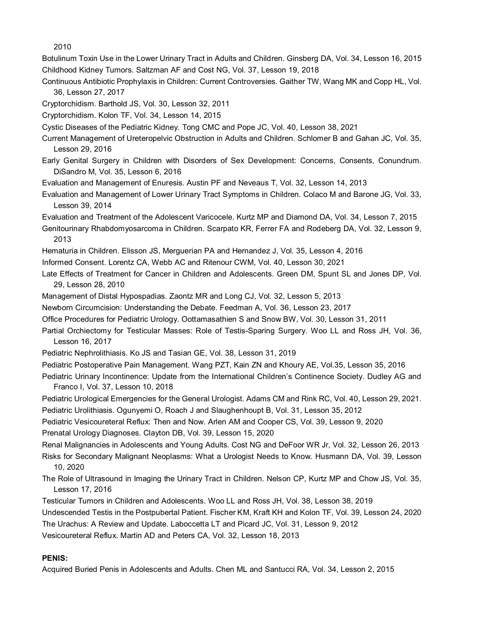2010

Botulinum Toxin Use in the Lower Urinary Tract in Adults and Children. Ginsberg DA, Vol. 34, Lesson 16, 2015 Childhood Kidney Tumors. Saltzman AF and Cost NG, Vol. 37, Lesson 19, 2018

- Continuous Antibiotic Prophylaxis in Children: Current Controversies. Gaither TW, Wang MK and Copp HL, Vol. 36, Lesson 27, 2017
- Cryptorchidism. Barthold JS, Vol. 30, Lesson 32, 2011
- Cryptorchidism. Kolon TF, Vol. 34, Lesson 14, 2015
- Cystic Diseases of the Pediatric Kidney. Tong CMC and Pope JC, Vol. 40, Lesson 38, 2021
- Current Management of Ureteropelvic Obstruction in Adults and Children. Schlomer B and Gahan JC, Vol. 35, Lesson 29, 2016
- Early Genital Surgery in Children with Disorders of Sex Development: Concerns, Consents, Conundrum. DiSandro M, Vol. 35, Lesson 6, 2016
- Evaluation and Management of Enuresis. Austin PF and Neveaus T, Vol. 32, Lesson 14, 2013
- Evaluation and Management of Lower Urinary Tract Symptoms in Children. Colaco M and Barone JG, Vol. 33, Lesson 39, 2014
- Evaluation and Treatment of the Adolescent Varicocele. Kurtz MP and Diamond DA, Vol. 34, Lesson 7, 2015
- Genitourinary Rhabdomyosarcoma in Children. Scarpato KR, Ferrer FA and Rodeberg DA, Vol. 32, Lesson 9, 2013
- Hematuria in Children. Elisson JS, Merguerian PA and Hernandez J, Vol. 35, Lesson 4, 2016
- Informed Consent. Lorentz CA, Webb AC and Ritenour CWM, Vol. 40, Lesson 30, 2021
- Late Effects of Treatment for Cancer in Children and Adolescents. Green DM, Spunt SL and Jones DP, Vol. 29, Lesson 28, 2010
- Management of Distal Hypospadias. Zaontz MR and Long CJ, Vol. 32, Lesson 5, 2013
- Newborn Circumcision: Understanding the Debate. Feedman A, Vol. 36, Lesson 23, 2017
- Office Procedures for Pediatric Urology. Oottamasathien S and Snow BW, Vol. 30, Lesson 31, 2011
- Partial Orchiectomy for Testicular Masses: Role of Testis-Sparing Surgery. Woo LL and Ross JH, Vol. 36, Lesson 16, 2017
- Pediatric Nephrolithiasis. Ko JS and Tasian GE, Vol. 38, Lesson 31, 2019
- Pediatric Postoperative Pain Management. Wang PZT, Kain ZN and Khoury AE, Vol.35, Lesson 35, 2016
- Pediatric Urinary Incontinence: Update from the International Children's Continence Society. Dudley AG and Franco I, Vol. 37, Lesson 10, 2018
- Pediatric Urological Emergencies for the General Urologist. Adams CM and Rink RC, Vol. 40, Lesson 29, 2021.
- Pediatric Urolithiasis. Ogunyemi O, Roach J and Slaughenhoupt B, Vol. 31, Lesson 35, 2012
- Pediatric Vesicoureteral Reflux: Then and Now. Arlen AM and Cooper CS, Vol. 39, Lesson 9, 2020
- Prenatal Urology Diagnoses. Clayton DB, Vol. 39, Lesson 15, 2020
- Renal Malignancies in Adolescents and Young Adults. Cost NG and DeFoor WR Jr, Vol. 32, Lesson 26, 2013
- Risks for Secondary Malignant Neoplasms: What a Urologist Needs to Know. Husmann DA, Vol. 39, Lesson 10, 2020
- The Role of Ultrasound in Imaging the Urinary Tract in Children. Nelson CP, Kurtz MP and Chow JS, Vol. 35, Lesson 17, 2016
- Testicular Tumors in Children and Adolescents. Woo LL and Ross JH, Vol. 38, Lesson 38, 2019
- Undescended Testis in the Postpubertal Patient. Fischer KM, Kraft KH and Kolon TF, Vol. 39, Lesson 24, 2020 The Urachus: A Review and Update. Laboccetta LT and Picard JC, Vol. 31, Lesson 9, 2012
- Vesicoureteral Reflux. Martin AD and Peters CA, Vol. 32, Lesson 18, 2013

### **PENIS:**

Acquired Buried Penis in Adolescents and Adults. Chen ML and Santucci RA, Vol. 34, Lesson 2, 2015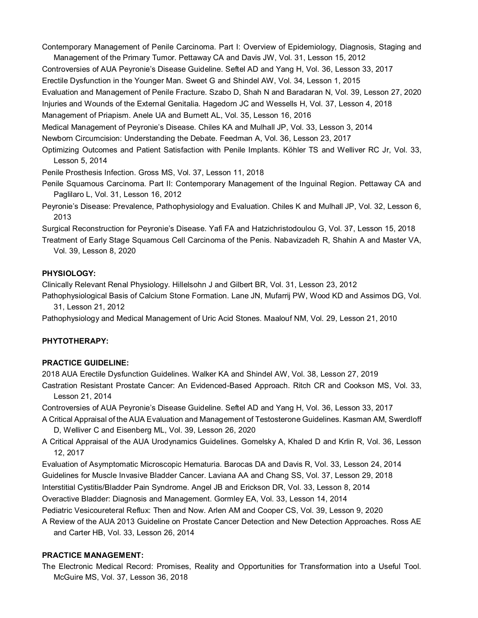Contemporary Management of Penile Carcinoma. Part I: Overview of Epidemiology, Diagnosis, Staging and Management of the Primary Tumor. Pettaway CA and Davis JW, Vol. 31, Lesson 15, 2012

Controversies of AUA Peyronie's Disease Guideline. Seftel AD and Yang H, Vol. 36, Lesson 33, 2017

Erectile Dysfunction in the Younger Man. Sweet G and Shindel AW, Vol. 34, Lesson 1, 2015

Evaluation and Management of Penile Fracture. Szabo D, Shah N and Baradaran N, Vol. 39, Lesson 27, 2020

Injuries and Wounds of the External Genitalia. Hagedorn JC and Wessells H, Vol. 37, Lesson 4, 2018

Management of Priapism. Anele UA and Burnett AL, Vol. 35, Lesson 16, 2016

Medical Management of Peyronie's Disease. Chiles KA and Mulhall JP, Vol. 33, Lesson 3, 2014

Newborn Circumcision: Understanding the Debate. Feedman A, Vol. 36, Lesson 23, 2017

Optimizing Outcomes and Patient Satisfaction with Penile Implants. Köhler TS and Welliver RC Jr, Vol. 33, Lesson 5, 2014

Penile Prosthesis Infection. Gross MS, Vol. 37, Lesson 11, 2018

- Penile Squamous Carcinoma. Part II: Contemporary Management of the Inguinal Region. Pettaway CA and Paglilaro L, Vol. 31, Lesson 16, 2012
- Peyronie's Disease: Prevalence, Pathophysiology and Evaluation. Chiles K and Mulhall JP, Vol. 32, Lesson 6, 2013

Surgical Reconstruction for Peyronie's Disease. Yafi FA and Hatzichristodoulou G, Vol. 37, Lesson 15, 2018

Treatment of Early Stage Squamous Cell Carcinoma of the Penis. Nabavizadeh R, Shahin A and Master VA, Vol. 39, Lesson 8, 2020

# **PHYSIOLOGY:**

Clinically Relevant Renal Physiology. Hillelsohn J and Gilbert BR, Vol. 31, Lesson 23, 2012

Pathophysiological Basis of Calcium Stone Formation. Lane JN, Mufarrij PW, Wood KD and Assimos DG, Vol. 31, Lesson 21, 2012

Pathophysiology and Medical Management of Uric Acid Stones. Maalouf NM, Vol. 29, Lesson 21, 2010

# **PHYTOTHERAPY:**

# **PRACTICE GUIDELINE:**

2018 AUA Erectile Dysfunction Guidelines. Walker KA and Shindel AW, Vol. 38, Lesson 27, 2019

Castration Resistant Prostate Cancer: An Evidenced-Based Approach. Ritch CR and Cookson MS, Vol. 33, Lesson 21, 2014

Controversies of AUA Peyronie's Disease Guideline. Seftel AD and Yang H, Vol. 36, Lesson 33, 2017

- A Critical Appraisal of the AUA Evaluation and Management of Testosterone Guidelines. Kasman AM, Swerdloff D, Welliver C and Eisenberg ML, Vol. 39, Lesson 26, 2020
- A Critical Appraisal of the AUA Urodynamics Guidelines. Gomelsky A, Khaled D and Krlin R, Vol. 36, Lesson 12, 2017
- Evaluation of Asymptomatic Microscopic Hematuria. Barocas DA and Davis R, Vol. 33, Lesson 24, 2014

Guidelines for Muscle Invasive Bladder Cancer. Laviana AA and Chang SS, Vol. 37, Lesson 29, 2018 Interstitial Cystitis/Bladder Pain Syndrome. Angel JB and Erickson DR, Vol. 33, Lesson 8, 2014

Overactive Bladder: Diagnosis and Management. Gormley EA, Vol. 33, Lesson 14, 2014

Pediatric Vesicoureteral Reflux: Then and Now. Arlen AM and Cooper CS, Vol. 39, Lesson 9, 2020

A Review of the AUA 2013 Guideline on Prostate Cancer Detection and New Detection Approaches. Ross AE and Carter HB, Vol. 33, Lesson 26, 2014

# **PRACTICE MANAGEMENT:**

The Electronic Medical Record: Promises, Reality and Opportunities for Transformation into a Useful Tool. McGuire MS, Vol. 37, Lesson 36, 2018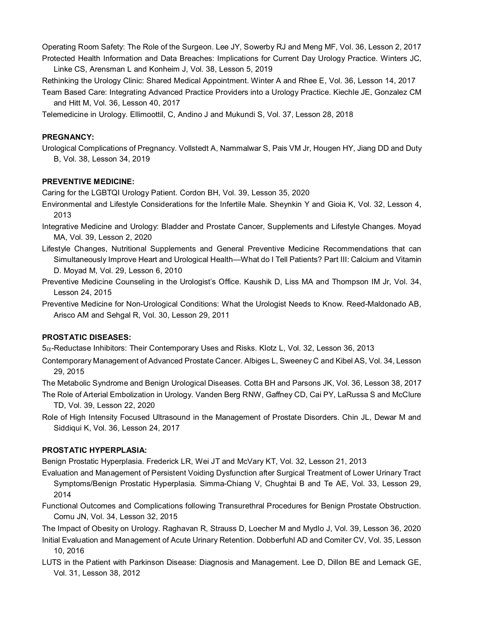Operating Room Safety: The Role of the Surgeon. Lee JY, Sowerby RJ and Meng MF, Vol. 36, Lesson 2, 2017 Protected Health Information and Data Breaches: Implications for Current Day Urology Practice. Winters JC, Linke CS, Arensman L and Konheim J, Vol. 38, Lesson 5, 2019

Rethinking the Urology Clinic: Shared Medical Appointment. Winter A and Rhee E, Vol. 36, Lesson 14, 2017

Team Based Care: Integrating Advanced Practice Providers into a Urology Practice. Kiechle JE, Gonzalez CM and Hitt M, Vol. 36, Lesson 40, 2017

Telemedicine in Urology. Ellimoottil, C, Andino J and Mukundi S, Vol. 37, Lesson 28, 2018

#### **PREGNANCY:**

Urological Complications of Pregnancy. Vollstedt A, Nammalwar S, Pais VM Jr, Hougen HY, Jiang DD and Duty B, Vol. 38, Lesson 34, 2019

#### **PREVENTIVE MEDICINE:**

Caring for the LGBTQI Urology Patient. Cordon BH, Vol. 39, Lesson 35, 2020

- Environmental and Lifestyle Considerations for the Infertile Male. Sheynkin Y and Gioia K, Vol. 32, Lesson 4, 2013
- Integrative Medicine and Urology: Bladder and Prostate Cancer, Supplements and Lifestyle Changes. Moyad MA, Vol. 39, Lesson 2, 2020
- Lifestyle Changes, Nutritional Supplements and General Preventive Medicine Recommendations that can Simultaneously Improve Heart and Urological Health—What do I Tell Patients? Part III: Calcium and Vitamin D. Moyad M, Vol. 29, Lesson 6, 2010
- Preventive Medicine Counseling in the Urologist's Office. Kaushik D, Liss MA and Thompson IM Jr, Vol. 34, Lesson 24, 2015
- Preventive Medicine for Non-Urological Conditions: What the Urologist Needs to Know. Reed-Maldonado AB, Arisco AM and Sehgal R, Vol. 30, Lesson 29, 2011

### **PROSTATIC DISEASES:**

5α-Reductase Inhibitors: Their Contemporary Uses and Risks. Klotz L, Vol. 32, Lesson 36, 2013

Contemporary Management of Advanced Prostate Cancer. Albiges L, Sweeney C and Kibel AS, Vol. 34, Lesson 29, 2015

The Metabolic Syndrome and Benign Urological Diseases. Cotta BH and Parsons JK, Vol. 36, Lesson 38, 2017

The Role of Arterial Embolization in Urology. Vanden Berg RNW, Gaffney CD, Cai PY, LaRussa S and McClure TD, Vol. 39, Lesson 22, 2020

Role of High Intensity Focused Ultrasound in the Management of Prostate Disorders. Chin JL, Dewar M and Siddiqui K, Vol. 36, Lesson 24, 2017

# **PROSTATIC HYPERPLASIA:**

Benign Prostatic Hyperplasia. Frederick LR, Wei JT and McVary KT, Vol. 32, Lesson 21, 2013

- Evaluation and Management of Persistent Voiding Dysfunction after Surgical Treatment of Lower Urinary Tract Symptoms/Benign Prostatic Hyperplasia. Simma-Chiang V, Chughtai B and Te AE, Vol. 33, Lesson 29, 2014
- Functional Outcomes and Complications following Transurethral Procedures for Benign Prostate Obstruction. Cornu JN, Vol. 34, Lesson 32, 2015

The Impact of Obesity on Urology. Raghavan R, Strauss D, Loecher M and Mydlo J, Vol. 39, Lesson 36, 2020

- Initial Evaluation and Management of Acute Urinary Retention. Dobberfuhl AD and Comiter CV, Vol. 35, Lesson 10, 2016
- LUTS in the Patient with Parkinson Disease: Diagnosis and Management. Lee D, Dillon BE and Lemack GE, Vol. 31, Lesson 38, 2012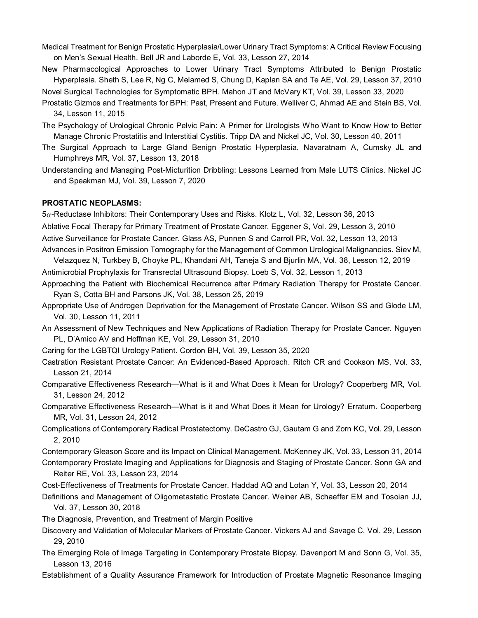- Medical Treatment for Benign Prostatic Hyperplasia/Lower Urinary Tract Symptoms: A Critical Review Focusing on Men's Sexual Health. Bell JR and Laborde E, Vol. 33, Lesson 27, 2014
- New Pharmacological Approaches to Lower Urinary Tract Symptoms Attributed to Benign Prostatic Hyperplasia. Sheth S, Lee R, Ng C, Melamed S, Chung D, Kaplan SA and Te AE, Vol. 29, Lesson 37, 2010 Novel Surgical Technologies for Symptomatic BPH. Mahon JT and McVary KT, Vol. 39, Lesson 33, 2020
- Prostatic Gizmos and Treatments for BPH: Past, Present and Future. Welliver C, Ahmad AE and Stein BS, Vol. 34, Lesson 11, 2015
- The Psychology of Urological Chronic Pelvic Pain: A Primer for Urologists Who Want to Know How to Better Manage Chronic Prostatitis and Interstitial Cystitis. Tripp DA and Nickel JC, Vol. 30, Lesson 40, 2011
- The Surgical Approach to Large Gland Benign Prostatic Hyperplasia. Navaratnam A, Cumsky JL and Humphreys MR, Vol. 37, Lesson 13, 2018
- Understanding and Managing Post-Micturition Dribbling: Lessons Learned from Male LUTS Clinics. Nickel JC and Speakman MJ, Vol. 39, Lesson 7, 2020

#### **PROSTATIC NEOPLASMS:**

5α-Reductase Inhibitors: Their Contemporary Uses and Risks. Klotz L, Vol. 32, Lesson 36, 2013

- Ablative Focal Therapy for Primary Treatment of Prostate Cancer. Eggener S, Vol. 29, Lesson 3, 2010
- Active Surveillance for Prostate Cancer. Glass AS, Punnen S and Carroll PR, Vol. 32, Lesson 13, 2013
- Advances in Positron Emission Tomography for the Management of Common Urological Malignancies. Siev M,

Velazquez N, Turkbey B, Choyke PL, Khandani AH, Taneja S and Bjurlin MA, Vol. 38, Lesson 12, 2019 Antimicrobial Prophylaxis for Transrectal Ultrasound Biopsy. Loeb S, Vol. 32, Lesson 1, 2013

- Approaching the Patient with Biochemical Recurrence after Primary Radiation Therapy for Prostate Cancer. Ryan S, Cotta BH and Parsons JK, Vol. 38, Lesson 25, 2019
- Appropriate Use of Androgen Deprivation for the Management of Prostate Cancer. Wilson SS and Glode LM, Vol. 30, Lesson 11, 2011
- An Assessment of New Techniques and New Applications of Radiation Therapy for Prostate Cancer. Nguyen PL, D'Amico AV and Hoffman KE, Vol. 29, Lesson 31, 2010
- Caring for the LGBTQI Urology Patient. Cordon BH, Vol. 39, Lesson 35, 2020
- Castration Resistant Prostate Cancer: An Evidenced-Based Approach. Ritch CR and Cookson MS, Vol. 33, Lesson 21, 2014
- Comparative Effectiveness Research—What is it and What Does it Mean for Urology? Cooperberg MR, Vol. 31, Lesson 24, 2012
- Comparative Effectiveness Research—What is it and What Does it Mean for Urology? Erratum. Cooperberg MR, Vol. 31, Lesson 24, 2012
- Complications of Contemporary Radical Prostatectomy. DeCastro GJ, Gautam G and Zorn KC, Vol. 29, Lesson 2, 2010
- Contemporary Gleason Score and its Impact on Clinical Management. McKenney JK, Vol. 33, Lesson 31, 2014
- Contemporary Prostate Imaging and Applications for Diagnosis and Staging of Prostate Cancer. Sonn GA and Reiter RE, Vol. 33, Lesson 23, 2014
- Cost-Effectiveness of Treatments for Prostate Cancer. Haddad AQ and Lotan Y, Vol. 33, Lesson 20, 2014
- Definitions and Management of Oligometastatic Prostate Cancer. Weiner AB, Schaeffer EM and Tosoian JJ, Vol. 37, Lesson 30, 2018
- The Diagnosis, Prevention, and Treatment of Margin Positive
- Discovery and Validation of Molecular Markers of Prostate Cancer. Vickers AJ and Savage C, Vol. 29, Lesson 29, 2010
- The Emerging Role of Image Targeting in Contemporary Prostate Biopsy. Davenport M and Sonn G, Vol. 35, Lesson 13, 2016
- Establishment of a Quality Assurance Framework for Introduction of Prostate Magnetic Resonance Imaging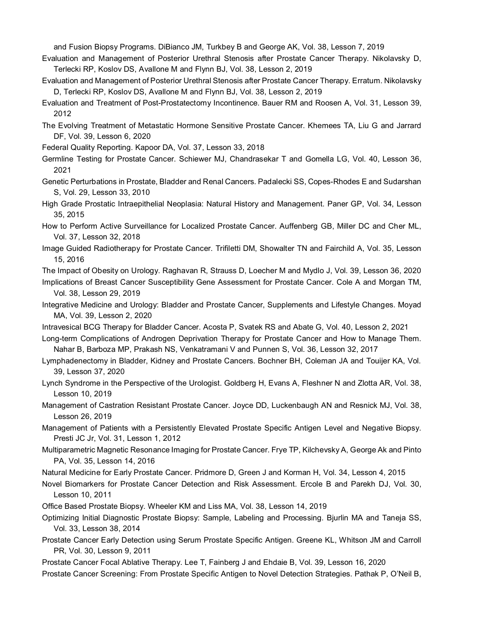and Fusion Biopsy Programs. DiBianco JM, Turkbey B and George AK, Vol. 38, Lesson 7, 2019

- Evaluation and Management of Posterior Urethral Stenosis after Prostate Cancer Therapy. Nikolavsky D, Terlecki RP, Koslov DS, Avallone M and Flynn BJ, Vol. 38, Lesson 2, 2019
- Evaluation and Management of Posterior Urethral Stenosis after Prostate Cancer Therapy. Erratum. Nikolavsky D, Terlecki RP, Koslov DS, Avallone M and Flynn BJ, Vol. 38, Lesson 2, 2019
- Evaluation and Treatment of Post-Prostatectomy Incontinence. Bauer RM and Roosen A, Vol. 31, Lesson 39, 2012
- The Evolving Treatment of Metastatic Hormone Sensitive Prostate Cancer. Khemees TA, Liu G and Jarrard DF, Vol. 39, Lesson 6, 2020
- Federal Quality Reporting. Kapoor DA, Vol. 37, Lesson 33, 2018
- Germline Testing for Prostate Cancer. Schiewer MJ, Chandrasekar T and Gomella LG, Vol. 40, Lesson 36, 2021
- Genetic Perturbations in Prostate, Bladder and Renal Cancers. Padalecki SS, Copes-Rhodes E and Sudarshan S, Vol. 29, Lesson 33, 2010
- High Grade Prostatic Intraepithelial Neoplasia: Natural History and Management. Paner GP, Vol. 34, Lesson 35, 2015
- How to Perform Active Surveillance for Localized Prostate Cancer. Auffenberg GB, Miller DC and Cher ML, Vol. 37, Lesson 32, 2018
- Image Guided Radiotherapy for Prostate Cancer. Trifiletti DM, Showalter TN and Fairchild A, Vol. 35, Lesson 15, 2016
- The Impact of Obesity on Urology. Raghavan R, Strauss D, Loecher M and Mydlo J, Vol. 39, Lesson 36, 2020
- Implications of Breast Cancer Susceptibility Gene Assessment for Prostate Cancer. Cole A and Morgan TM, Vol. 38, Lesson 29, 2019
- Integrative Medicine and Urology: Bladder and Prostate Cancer, Supplements and Lifestyle Changes. Moyad MA, Vol. 39, Lesson 2, 2020
- Intravesical BCG Therapy for Bladder Cancer. Acosta P, Svatek RS and Abate G, Vol. 40, Lesson 2, 2021
- Long-term Complications of Androgen Deprivation Therapy for Prostate Cancer and How to Manage Them. Nahar B, Barboza MP, Prakash NS, Venkatramani V and Punnen S, Vol. 36, Lesson 32, 2017
- Lymphadenectomy in Bladder, Kidney and Prostate Cancers. Bochner BH, Coleman JA and Touijer KA, Vol. 39, Lesson 37, 2020
- Lynch Syndrome in the Perspective of the Urologist. Goldberg H, Evans A, Fleshner N and Zlotta AR, Vol. 38, Lesson 10, 2019
- Management of Castration Resistant Prostate Cancer. Joyce DD, Luckenbaugh AN and Resnick MJ, Vol. 38, Lesson 26, 2019
- Management of Patients with a Persistently Elevated Prostate Specific Antigen Level and Negative Biopsy. Presti JC Jr, Vol. 31, Lesson 1, 2012
- Multiparametric Magnetic Resonance Imaging for Prostate Cancer. Frye TP, Kilchevsky A, George Ak and Pinto PA, Vol. 35, Lesson 14, 2016
- Natural Medicine for Early Prostate Cancer. Pridmore D, Green J and Korman H, Vol. 34, Lesson 4, 2015
- Novel Biomarkers for Prostate Cancer Detection and Risk Assessment. Ercole B and Parekh DJ, Vol. 30, Lesson 10, 2011
- Office Based Prostate Biopsy. Wheeler KM and Liss MA, Vol. 38, Lesson 14, 2019
- Optimizing Initial Diagnostic Prostate Biopsy: Sample, Labeling and Processing. Bjurlin MA and Taneja SS, Vol. 33, Lesson 38, 2014
- Prostate Cancer Early Detection using Serum Prostate Specific Antigen. Greene KL, Whitson JM and Carroll PR, Vol. 30, Lesson 9, 2011
- Prostate Cancer Focal Ablative Therapy. Lee T, Fainberg J and Ehdaie B, Vol. 39, Lesson 16, 2020
- Prostate Cancer Screening: From Prostate Specific Antigen to Novel Detection Strategies. Pathak P, O'Neil B,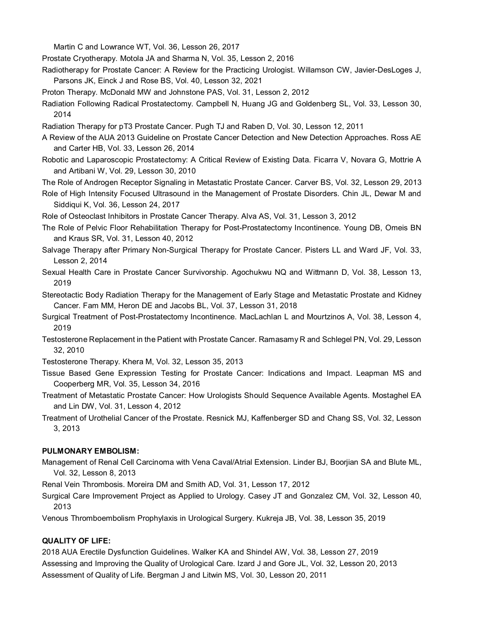Martin C and Lowrance WT, Vol. 36, Lesson 26, 2017

Prostate Cryotherapy. Motola JA and Sharma N, Vol. 35, Lesson 2, 2016

- Radiotherapy for Prostate Cancer: A Review for the Practicing Urologist. Willamson CW, Javier-DesLoges J, Parsons JK, Einck J and Rose BS, Vol. 40, Lesson 32, 2021
- Proton Therapy. McDonald MW and Johnstone PAS, Vol. 31, Lesson 2, 2012
- Radiation Following Radical Prostatectomy. Campbell N, Huang JG and Goldenberg SL, Vol. 33, Lesson 30, 2014
- Radiation Therapy for pT3 Prostate Cancer. Pugh TJ and Raben D, Vol. 30, Lesson 12, 2011
- A Review of the AUA 2013 Guideline on Prostate Cancer Detection and New Detection Approaches. Ross AE and Carter HB, Vol. 33, Lesson 26, 2014
- Robotic and Laparoscopic Prostatectomy: A Critical Review of Existing Data. Ficarra V, Novara G, Mottrie A and Artibani W, Vol. 29, Lesson 30, 2010
- The Role of Androgen Receptor Signaling in Metastatic Prostate Cancer. Carver BS, Vol. 32, Lesson 29, 2013
- Role of High Intensity Focused Ultrasound in the Management of Prostate Disorders. Chin JL, Dewar M and Siddiqui K, Vol. 36, Lesson 24, 2017
- Role of Osteoclast Inhibitors in Prostate Cancer Therapy. Alva AS, Vol. 31, Lesson 3, 2012
- The Role of Pelvic Floor Rehabilitation Therapy for Post-Prostatectomy Incontinence. Young DB, Omeis BN and Kraus SR, Vol. 31, Lesson 40, 2012
- Salvage Therapy after Primary Non-Surgical Therapy for Prostate Cancer. Pisters LL and Ward JF, Vol. 33, Lesson 2, 2014
- Sexual Health Care in Prostate Cancer Survivorship. Agochukwu NQ and Wittmann D, Vol. 38, Lesson 13, 2019
- Stereotactic Body Radiation Therapy for the Management of Early Stage and Metastatic Prostate and Kidney Cancer. Fam MM, Heron DE and Jacobs BL, Vol. 37, Lesson 31, 2018
- Surgical Treatment of Post-Prostatectomy Incontinence. MacLachlan L and Mourtzinos A, Vol. 38, Lesson 4, 2019
- Testosterone Replacement in the Patient with Prostate Cancer. Ramasamy R and Schlegel PN, Vol. 29, Lesson 32, 2010

Testosterone Therapy. Khera M, Vol. 32, Lesson 35, 2013

- Tissue Based Gene Expression Testing for Prostate Cancer: Indications and Impact. Leapman MS and Cooperberg MR, Vol. 35, Lesson 34, 2016
- Treatment of Metastatic Prostate Cancer: How Urologists Should Sequence Available Agents. Mostaghel EA and Lin DW, Vol. 31, Lesson 4, 2012
- Treatment of Urothelial Cancer of the Prostate. Resnick MJ, Kaffenberger SD and Chang SS, Vol. 32, Lesson 3, 2013

#### **PULMONARY EMBOLISM:**

- Management of Renal Cell Carcinoma with Vena Caval/Atrial Extension. Linder BJ, Boorjian SA and Blute ML, Vol. 32, Lesson 8, 2013
- Renal Vein Thrombosis. Moreira DM and Smith AD, Vol. 31, Lesson 17, 2012
- Surgical Care Improvement Project as Applied to Urology. Casey JT and Gonzalez CM, Vol. 32, Lesson 40, 2013
- Venous Thromboembolism Prophylaxis in Urological Surgery. Kukreja JB, Vol. 38, Lesson 35, 2019

# **QUALITY OF LIFE:**

2018 AUA Erectile Dysfunction Guidelines. Walker KA and Shindel AW, Vol. 38, Lesson 27, 2019 Assessing and Improving the Quality of Urological Care. Izard J and Gore JL, Vol. 32, Lesson 20, 2013 Assessment of Quality of Life. Bergman J and Litwin MS, Vol. 30, Lesson 20, 2011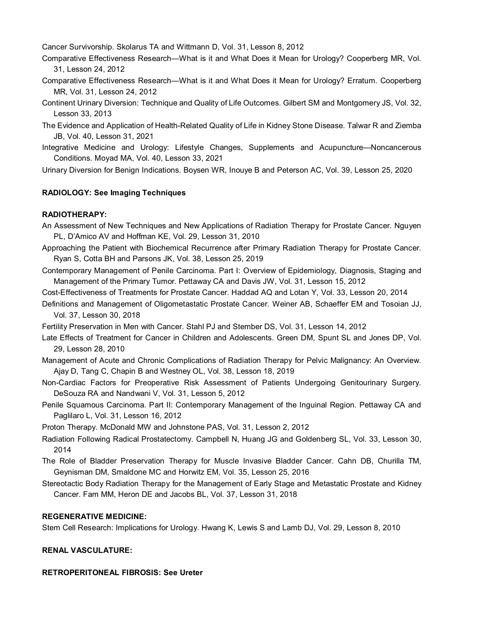Cancer Survivorship. Skolarus TA and Wittmann D, Vol. 31, Lesson 8, 2012

- Comparative Effectiveness Research—What is it and What Does it Mean for Urology? Cooperberg MR, Vol. 31, Lesson 24, 2012
- Comparative Effectiveness Research—What is it and What Does it Mean for Urology? Erratum. Cooperberg MR, Vol. 31, Lesson 24, 2012
- Continent Urinary Diversion: Technique and Quality of Life Outcomes. Gilbert SM and Montgomery JS, Vol. 32, Lesson 33, 2013
- The Evidence and Application of Health-Related Quality of Life in Kidney Stone Disease. Talwar R and Ziemba JB, Vol. 40, Lesson 31, 2021
- Integrative Medicine and Urology: Lifestyle Changes, Supplements and Acupuncture—Noncancerous Conditions. Moyad MA, Vol. 40, Lesson 33, 2021

Urinary Diversion for Benign Indications. Boysen WR, Inouye B and Peterson AC, Vol. 39, Lesson 25, 2020

#### **RADIOLOGY: See Imaging Techniques**

#### **RADIOTHERAPY:**

- An Assessment of New Techniques and New Applications of Radiation Therapy for Prostate Cancer. Nguyen PL, D'Amico AV and Hoffman KE, Vol. 29, Lesson 31, 2010
- Approaching the Patient with Biochemical Recurrence after Primary Radiation Therapy for Prostate Cancer. Ryan S, Cotta BH and Parsons JK, Vol. 38, Lesson 25, 2019
- Contemporary Management of Penile Carcinoma. Part I: Overview of Epidemiology, Diagnosis, Staging and Management of the Primary Tumor. Pettaway CA and Davis JW, Vol. 31, Lesson 15, 2012
- Cost-Effectiveness of Treatments for Prostate Cancer. Haddad AQ and Lotan Y, Vol. 33, Lesson 20, 2014
- Definitions and Management of Oligometastatic Prostate Cancer. Weiner AB, Schaeffer EM and Tosoian JJ, Vol. 37, Lesson 30, 2018

Fertility Preservation in Men with Cancer. Stahl PJ and Stember DS, Vol. 31, Lesson 14, 2012

- Late Effects of Treatment for Cancer in Children and Adolescents. Green DM, Spunt SL and Jones DP, Vol. 29, Lesson 28, 2010
- Management of Acute and Chronic Complications of Radiation Therapy for Pelvic Malignancy: An Overview. Ajay D, Tang C, Chapin B and Westney OL, Vol. 38, Lesson 18, 2019
- Non-Cardiac Factors for Preoperative Risk Assessment of Patients Undergoing Genitourinary Surgery. DeSouza RA and Nandwani V, Vol. 31, Lesson 5, 2012
- Penile Squamous Carcinoma. Part II: Contemporary Management of the Inguinal Region. Pettaway CA and Paglilaro L, Vol. 31, Lesson 16, 2012

Proton Therapy. McDonald MW and Johnstone PAS, Vol. 31, Lesson 2, 2012

- Radiation Following Radical Prostatectomy. Campbell N, Huang JG and Goldenberg SL, Vol. 33, Lesson 30, 2014
- The Role of Bladder Preservation Therapy for Muscle Invasive Bladder Cancer. Cahn DB, Churilla TM, Geynisman DM, Smaldone MC and Horwitz EM, Vol. 35, Lesson 25, 2016
- Stereotactic Body Radiation Therapy for the Management of Early Stage and Metastatic Prostate and Kidney Cancer. Fam MM, Heron DE and Jacobs BL, Vol. 37, Lesson 31, 2018

#### **REGENERATIVE MEDICINE:**

Stem Cell Research: Implications for Urology. Hwang K, Lewis S and Lamb DJ, Vol. 29, Lesson 8, 2010

#### **RENAL VASCULATURE:**

**RETROPERITONEAL FIBROSIS: See Ureter**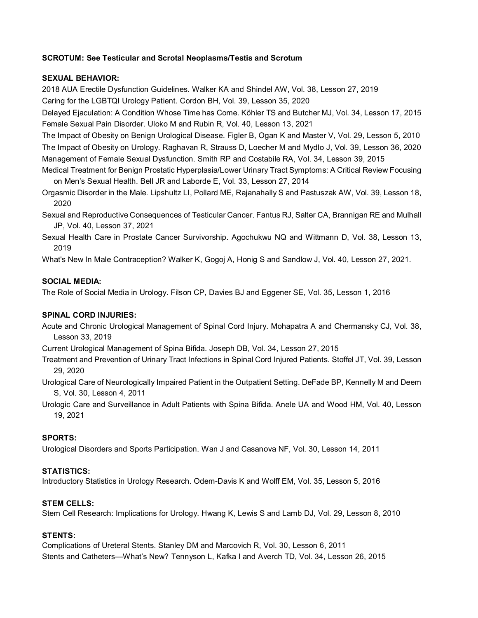## **SCROTUM: See Testicular and Scrotal Neoplasms/Testis and Scrotum**

#### **SEXUAL BEHAVIOR:**

2018 AUA Erectile Dysfunction Guidelines. Walker KA and Shindel AW, Vol. 38, Lesson 27, 2019

Caring for the LGBTQI Urology Patient. Cordon BH, Vol. 39, Lesson 35, 2020

Delayed Ejaculation: A Condition Whose Time has Come. Köhler TS and Butcher MJ, Vol. 34, Lesson 17, 2015 Female Sexual Pain Disorder. Uloko M and Rubin R, Vol. 40, Lesson 13, 2021

The Impact of Obesity on Benign Urological Disease. Figler B, Ogan K and Master V, Vol. 29, Lesson 5, 2010 The Impact of Obesity on Urology. Raghavan R, Strauss D, Loecher M and Mydlo J, Vol. 39, Lesson 36, 2020 Management of Female Sexual Dysfunction. Smith RP and Costabile RA, Vol. 34, Lesson 39, 2015

Medical Treatment for Benign Prostatic Hyperplasia/Lower Urinary Tract Symptoms: A Critical Review Focusing on Men's Sexual Health. Bell JR and Laborde E, Vol. 33, Lesson 27, 2014

Orgasmic Disorder in the Male. Lipshultz LI, Pollard ME, Rajanahally S and Pastuszak AW, Vol. 39, Lesson 18, 2020

Sexual and Reproductive Consequences of Testicular Cancer. Fantus RJ, Salter CA, Brannigan RE and Mulhall JP, Vol. 40, Lesson 37, 2021

Sexual Health Care in Prostate Cancer Survivorship. Agochukwu NQ and Wittmann D, Vol. 38, Lesson 13, 2019

What's New In Male Contraception? Walker K, Gogoj A, Honig S and Sandlow J, Vol. 40, Lesson 27, 2021.

# **SOCIAL MEDIA:**

The Role of Social Media in Urology. Filson CP, Davies BJ and Eggener SE, Vol. 35, Lesson 1, 2016

### **SPINAL CORD INJURIES:**

Acute and Chronic Urological Management of Spinal Cord Injury. Mohapatra A and Chermansky CJ, Vol. 38, Lesson 33, 2019

Current Urological Management of Spina Bifida. Joseph DB, Vol. 34, Lesson 27, 2015

Treatment and Prevention of Urinary Tract Infections in Spinal Cord Injured Patients. Stoffel JT, Vol. 39, Lesson 29, 2020

Urological Care of Neurologically Impaired Patient in the Outpatient Setting. DeFade BP, Kennelly M and Deem S, Vol. 30, Lesson 4, 2011

Urologic Care and Surveillance in Adult Patients with Spina Bifida. Anele UA and Wood HM, Vol. 40, Lesson 19, 2021

### **SPORTS:**

Urological Disorders and Sports Participation. Wan J and Casanova NF, Vol. 30, Lesson 14, 2011

### **STATISTICS:**

Introductory Statistics in Urology Research. Odem-Davis K and Wolff EM, Vol. 35, Lesson 5, 2016

### **STEM CELLS:**

Stem Cell Research: Implications for Urology. Hwang K, Lewis S and Lamb DJ, Vol. 29, Lesson 8, 2010

### **STENTS:**

Complications of Ureteral Stents. Stanley DM and Marcovich R, Vol. 30, Lesson 6, 2011 Stents and Catheters—What's New? Tennyson L, Kafka I and Averch TD, Vol. 34, Lesson 26, 2015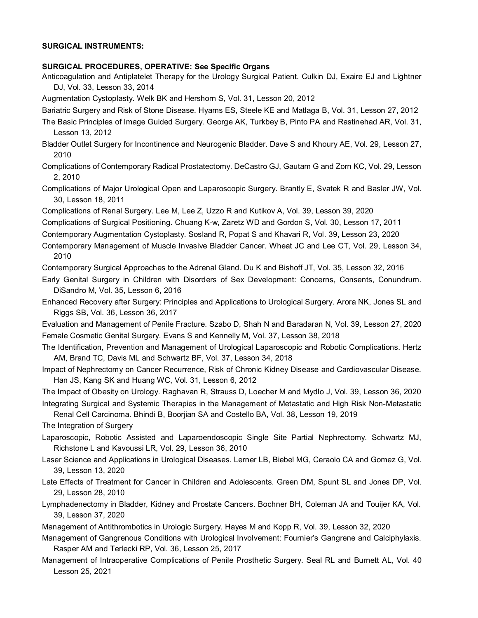#### **SURGICAL INSTRUMENTS:**

#### **SURGICAL PROCEDURES, OPERATIVE: See Specific Organs**

Anticoagulation and Antiplatelet Therapy for the Urology Surgical Patient. Culkin DJ, Exaire EJ and Lightner DJ, Vol. 33, Lesson 33, 2014

Augmentation Cystoplasty. Welk BK and Hershorn S, Vol. 31, Lesson 20, 2012

Bariatric Surgery and Risk of Stone Disease. Hyams ES, Steele KE and Matlaga B, Vol. 31, Lesson 27, 2012

- The Basic Principles of Image Guided Surgery. George AK, Turkbey B, Pinto PA and Rastinehad AR, Vol. 31, Lesson 13, 2012
- Bladder Outlet Surgery for Incontinence and Neurogenic Bladder. Dave S and Khoury AE, Vol. 29, Lesson 27, 2010
- Complications of Contemporary Radical Prostatectomy. DeCastro GJ, Gautam G and Zorn KC, Vol. 29, Lesson 2, 2010
- Complications of Major Urological Open and Laparoscopic Surgery. Brantly E, Svatek R and Basler JW, Vol. 30, Lesson 18, 2011
- Complications of Renal Surgery. Lee M, Lee Z, Uzzo R and Kutikov A, Vol. 39, Lesson 39, 2020
- Complications of Surgical Positioning. Chuang K-w, Zaretz WD and Gordon S, Vol. 30, Lesson 17, 2011
- Contemporary Augmentation Cystoplasty. Sosland R, Popat S and Khavari R, Vol. 39, Lesson 23, 2020
- Contemporary Management of Muscle Invasive Bladder Cancer. Wheat JC and Lee CT, Vol. 29, Lesson 34, 2010

Contemporary Surgical Approaches to the Adrenal Gland. Du K and Bishoff JT, Vol. 35, Lesson 32, 2016

- Early Genital Surgery in Children with Disorders of Sex Development: Concerns, Consents, Conundrum. DiSandro M, Vol. 35, Lesson 6, 2016
- Enhanced Recovery after Surgery: Principles and Applications to Urological Surgery. Arora NK, Jones SL and Riggs SB, Vol. 36, Lesson 36, 2017
- Evaluation and Management of Penile Fracture. Szabo D, Shah N and Baradaran N, Vol. 39, Lesson 27, 2020 Female Cosmetic Genital Surgery. Evans S and Kennelly M, Vol. 37, Lesson 38, 2018
- The Identification, Prevention and Management of Urological Laparoscopic and Robotic Complications. Hertz AM, Brand TC, Davis ML and Schwartz BF, Vol. 37, Lesson 34, 2018
- Impact of Nephrectomy on Cancer Recurrence, Risk of Chronic Kidney Disease and Cardiovascular Disease. Han JS, Kang SK and Huang WC, Vol. 31, Lesson 6, 2012

The Impact of Obesity on Urology. Raghavan R, Strauss D, Loecher M and Mydlo J, Vol. 39, Lesson 36, 2020 Integrating Surgical and Systemic Therapies in the Management of Metastatic and High Risk Non-Metastatic

Renal Cell Carcinoma. Bhindi B, Boorjian SA and Costello BA, Vol. 38, Lesson 19, 2019

The Integration of Surgery

- Laparoscopic, Robotic Assisted and Laparoendoscopic Single Site Partial Nephrectomy. Schwartz MJ, Richstone L and Kavoussi LR, Vol. 29, Lesson 36, 2010
- Laser Science and Applications in Urological Diseases. Lerner LB, Biebel MG, Ceraolo CA and Gomez G, Vol. 39, Lesson 13, 2020
- Late Effects of Treatment for Cancer in Children and Adolescents. Green DM, Spunt SL and Jones DP, Vol. 29, Lesson 28, 2010
- Lymphadenectomy in Bladder, Kidney and Prostate Cancers. Bochner BH, Coleman JA and Touijer KA, Vol. 39, Lesson 37, 2020
- Management of Antithrombotics in Urologic Surgery. Hayes M and Kopp R, Vol. 39, Lesson 32, 2020
- Management of Gangrenous Conditions with Urological Involvement: Fournier's Gangrene and Calciphylaxis. Rasper AM and Terlecki RP, Vol. 36, Lesson 25, 2017
- Management of Intraoperative Complications of Penile Prosthetic Surgery. Seal RL and Burnett AL, Vol. 40 Lesson 25, 2021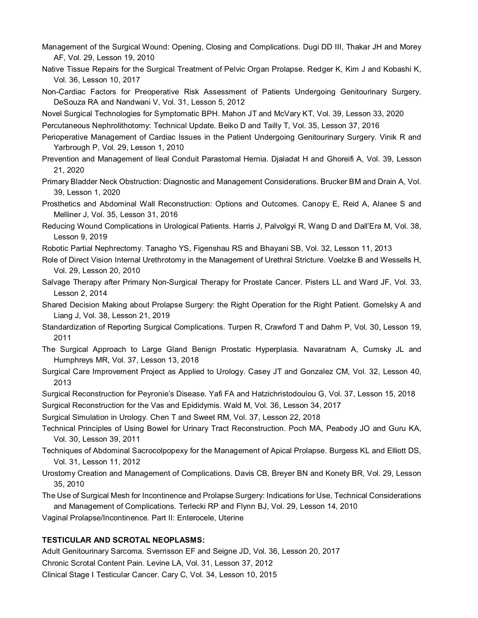- Management of the Surgical Wound: Opening, Closing and Complications. Dugi DD III, Thakar JH and Morey AF, Vol. 29, Lesson 19, 2010
- Native Tissue Repairs for the Surgical Treatment of Pelvic Organ Prolapse. Redger K, Kim J and Kobashi K, Vol. 36, Lesson 10, 2017

Non-Cardiac Factors for Preoperative Risk Assessment of Patients Undergoing Genitourinary Surgery. DeSouza RA and Nandwani V, Vol. 31, Lesson 5, 2012

Novel Surgical Technologies for Symptomatic BPH. Mahon JT and McVary KT, Vol. 39, Lesson 33, 2020

Percutaneous Nephrolithotomy: Technical Update. Beiko D and Tailly T, Vol. 35, Lesson 37, 2016

- Perioperative Management of Cardiac Issues in the Patient Undergoing Genitourinary Surgery. Vinik R and Yarbrough P, Vol. 29, Lesson 1, 2010
- Prevention and Management of Ileal Conduit Parastomal Hernia. Djaladat H and Ghoreifi A, Vol. 39, Lesson 21, 2020
- Primary Bladder Neck Obstruction: Diagnostic and Management Considerations. Brucker BM and Drain A, Vol. 39, Lesson 1, 2020
- Prosthetics and Abdominal Wall Reconstruction: Options and Outcomes. Canopy E, Reid A, Alanee S and Melliner J, Vol. 35, Lesson 31, 2016
- Reducing Wound Complications in Urological Patients. Harris J, Palvolgyi R, Wang D and Dall'Era M, Vol. 38, Lesson 9, 2019
- Robotic Partial Nephrectomy. Tanagho YS, Figenshau RS and Bhayani SB, Vol. 32, Lesson 11, 2013
- Role of Direct Vision Internal Urethrotomy in the Management of Urethral Stricture. Voelzke B and Wessells H, Vol. 29, Lesson 20, 2010
- Salvage Therapy after Primary Non-Surgical Therapy for Prostate Cancer. Pisters LL and Ward JF, Vol. 33, Lesson 2, 2014
- Shared Decision Making about Prolapse Surgery: the Right Operation for the Right Patient. Gomelsky A and Liang J, Vol. 38, Lesson 21, 2019
- Standardization of Reporting Surgical Complications. Turpen R, Crawford T and Dahm P, Vol. 30, Lesson 19, 2011
- The Surgical Approach to Large Gland Benign Prostatic Hyperplasia. Navaratnam A, Cumsky JL and Humphreys MR, Vol. 37, Lesson 13, 2018
- Surgical Care Improvement Project as Applied to Urology. Casey JT and Gonzalez CM, Vol. 32, Lesson 40, 2013
- Surgical Reconstruction for Peyronie's Disease. Yafi FA and Hatzichristodoulou G, Vol. 37, Lesson 15, 2018
- Surgical Reconstruction for the Vas and Epididymis. Wald M, Vol. 36, Lesson 34, 2017

Surgical Simulation in Urology. Chen T and Sweet RM, Vol. 37, Lesson 22, 2018

- Technical Principles of Using Bowel for Urinary Tract Reconstruction. Poch MA, Peabody JO and Guru KA, Vol. 30, Lesson 39, 2011
- Techniques of Abdominal Sacrocolpopexy for the Management of Apical Prolapse. Burgess KL and Elliott DS, Vol. 31, Lesson 11, 2012
- Urostomy Creation and Management of Complications. Davis CB, Breyer BN and Konety BR, Vol. 29, Lesson 35, 2010
- The Use of Surgical Mesh for Incontinence and Prolapse Surgery: Indications for Use, Technical Considerations and Management of Complications. Terlecki RP and Flynn BJ, Vol. 29, Lesson 14, 2010
- Vaginal Prolapse/Incontinence. Part II: Enterocele, Uterine

#### **TESTICULAR AND SCROTAL NEOPLASMS:**

Adult Genitourinary Sarcoma. Sverrisson EF and Seigne JD, Vol. 36, Lesson 20, 2017 Chronic Scrotal Content Pain. Levine LA, Vol. 31, Lesson 37, 2012 Clinical Stage I Testicular Cancer. Cary C, Vol. 34, Lesson 10, 2015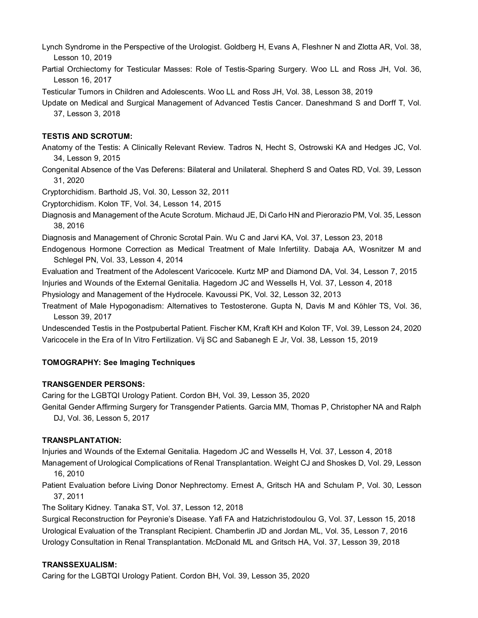Lynch Syndrome in the Perspective of the Urologist. Goldberg H, Evans A, Fleshner N and Zlotta AR, Vol. 38, Lesson 10, 2019

Partial Orchiectomy for Testicular Masses: Role of Testis-Sparing Surgery. Woo LL and Ross JH, Vol. 36, Lesson 16, 2017

Testicular Tumors in Children and Adolescents. Woo LL and Ross JH, Vol. 38, Lesson 38, 2019

Update on Medical and Surgical Management of Advanced Testis Cancer. Daneshmand S and Dorff T, Vol. 37, Lesson 3, 2018

# **TESTIS AND SCROTUM:**

Anatomy of the Testis: A Clinically Relevant Review. Tadros N, Hecht S, Ostrowski KA and Hedges JC, Vol. 34, Lesson 9, 2015

Congenital Absence of the Vas Deferens: Bilateral and Unilateral. Shepherd S and Oates RD, Vol. 39, Lesson 31, 2020

Cryptorchidism. Barthold JS, Vol. 30, Lesson 32, 2011

Cryptorchidism. Kolon TF, Vol. 34, Lesson 14, 2015

Diagnosis and Management of the Acute Scrotum. Michaud JE, Di Carlo HN and Pierorazio PM, Vol. 35, Lesson 38, 2016

Diagnosis and Management of Chronic Scrotal Pain. Wu C and Jarvi KA, Vol. 37, Lesson 23, 2018

Endogenous Hormone Correction as Medical Treatment of Male Infertility. Dabaja AA, Wosnitzer M and Schlegel PN, Vol. 33, Lesson 4, 2014

Evaluation and Treatment of the Adolescent Varicocele. Kurtz MP and Diamond DA, Vol. 34, Lesson 7, 2015 Injuries and Wounds of the External Genitalia. Hagedorn JC and Wessells H, Vol. 37, Lesson 4, 2018

Physiology and Management of the Hydrocele. Kavoussi PK, Vol. 32, Lesson 32, 2013

Treatment of Male Hypogonadism: Alternatives to Testosterone. Gupta N, Davis M and Köhler TS, Vol. 36, Lesson 39, 2017

Undescended Testis in the Postpubertal Patient. Fischer KM, Kraft KH and Kolon TF, Vol. 39, Lesson 24, 2020 Varicocele in the Era of In Vitro Fertilization. Vij SC and Sabanegh E Jr, Vol. 38, Lesson 15, 2019

# **TOMOGRAPHY: See Imaging Techniques**

### **TRANSGENDER PERSONS:**

Caring for the LGBTQI Urology Patient. Cordon BH, Vol. 39, Lesson 35, 2020

Genital Gender Affirming Surgery for Transgender Patients. Garcia MM, Thomas P, Christopher NA and Ralph DJ, Vol. 36, Lesson 5, 2017

### **TRANSPLANTATION:**

Injuries and Wounds of the External Genitalia. Hagedorn JC and Wessells H, Vol. 37, Lesson 4, 2018

Management of Urological Complications of Renal Transplantation. Weight CJ and Shoskes D, Vol. 29, Lesson 16, 2010

Patient Evaluation before Living Donor Nephrectomy. Ernest A, Gritsch HA and Schulam P, Vol. 30, Lesson 37, 2011

The Solitary Kidney. Tanaka ST, Vol. 37, Lesson 12, 2018

Surgical Reconstruction for Peyronie's Disease. Yafi FA and Hatzichristodoulou G, Vol. 37, Lesson 15, 2018 Urological Evaluation of the Transplant Recipient. Chamberlin JD and Jordan ML, Vol. 35, Lesson 7, 2016 Urology Consultation in Renal Transplantation. McDonald ML and Gritsch HA, Vol. 37, Lesson 39, 2018

### **TRANSSEXUALISM:**

Caring for the LGBTQI Urology Patient. Cordon BH, Vol. 39, Lesson 35, 2020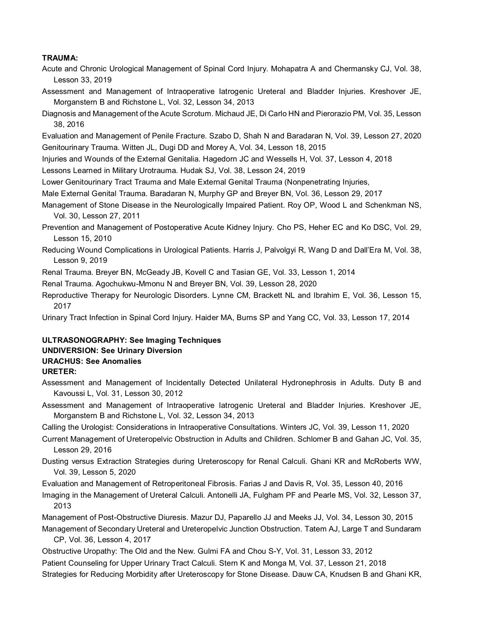### **TRAUMA:**

- Acute and Chronic Urological Management of Spinal Cord Injury. Mohapatra A and Chermansky CJ, Vol. 38, Lesson 33, 2019
- Assessment and Management of Intraoperative Iatrogenic Ureteral and Bladder Injuries. Kreshover JE, Morganstern B and Richstone L, Vol. 32, Lesson 34, 2013
- Diagnosis and Management of the Acute Scrotum. Michaud JE, Di Carlo HN and Pierorazio PM, Vol. 35, Lesson 38, 2016
- Evaluation and Management of Penile Fracture. Szabo D, Shah N and Baradaran N, Vol. 39, Lesson 27, 2020 Genitourinary Trauma. Witten JL, Dugi DD and Morey A, Vol. 34, Lesson 18, 2015
- Injuries and Wounds of the External Genitalia. Hagedorn JC and Wessells H, Vol. 37, Lesson 4, 2018
- Lessons Learned in Military Urotrauma. Hudak SJ, Vol. 38, Lesson 24, 2019
- Lower Genitourinary Tract Trauma and Male External Genital Trauma (Nonpenetrating Injuries,
- Male External Genital Trauma. Baradaran N, Murphy GP and Breyer BN, Vol. 36, Lesson 29, 2017
- Management of Stone Disease in the Neurologically Impaired Patient. Roy OP, Wood L and Schenkman NS, Vol. 30, Lesson 27, 2011
- Prevention and Management of Postoperative Acute Kidney Injury. Cho PS, Heher EC and Ko DSC, Vol. 29, Lesson 15, 2010
- Reducing Wound Complications in Urological Patients. Harris J, Palvolgyi R, Wang D and Dall'Era M, Vol. 38, Lesson 9, 2019
- Renal Trauma. Breyer BN, McGeady JB, Kovell C and Tasian GE, Vol. 33, Lesson 1, 2014
- Renal Trauma. Agochukwu-Mmonu N and Breyer BN, Vol. 39, Lesson 28, 2020
- Reproductive Therapy for Neurologic Disorders. Lynne CM, Brackett NL and Ibrahim E, Vol. 36, Lesson 15, 2017
- Urinary Tract Infection in Spinal Cord Injury. Haider MA, Burns SP and Yang CC, Vol. 33, Lesson 17, 2014

# **ULTRASONOGRAPHY: See Imaging Techniques UNDIVERSION: See Urinary Diversion URACHUS: See Anomalies**

- **URETER:**
- Assessment and Management of Incidentally Detected Unilateral Hydronephrosis in Adults. Duty B and Kavoussi L, Vol. 31, Lesson 30, 2012
- Assessment and Management of Intraoperative Iatrogenic Ureteral and Bladder Injuries. Kreshover JE, Morganstern B and Richstone L, Vol. 32, Lesson 34, 2013
- Calling the Urologist: Considerations in Intraoperative Consultations. Winters JC, Vol. 39, Lesson 11, 2020
- Current Management of Ureteropelvic Obstruction in Adults and Children. Schlomer B and Gahan JC, Vol. 35, Lesson 29, 2016
- Dusting versus Extraction Strategies during Ureteroscopy for Renal Calculi. Ghani KR and McRoberts WW, Vol. 39, Lesson 5, 2020
- Evaluation and Management of Retroperitoneal Fibrosis. Farias J and Davis R, Vol. 35, Lesson 40, 2016
- Imaging in the Management of Ureteral Calculi. Antonelli JA, Fulgham PF and Pearle MS, Vol. 32, Lesson 37, 2013
- Management of Post-Obstructive Diuresis. Mazur DJ, Paparello JJ and Meeks JJ, Vol. 34, Lesson 30, 2015 Management of Secondary Ureteral and Ureteropelvic Junction Obstruction. Tatem AJ, Large T and Sundaram

CP, Vol. 36, Lesson 4, 2017

Obstructive Uropathy: The Old and the New. Gulmi FA and Chou S-Y, Vol. 31, Lesson 33, 2012 Patient Counseling for Upper Urinary Tract Calculi. Stern K and Monga M, Vol. 37, Lesson 21, 2018 Strategies for Reducing Morbidity after Ureteroscopy for Stone Disease. Dauw CA, Knudsen B and Ghani KR,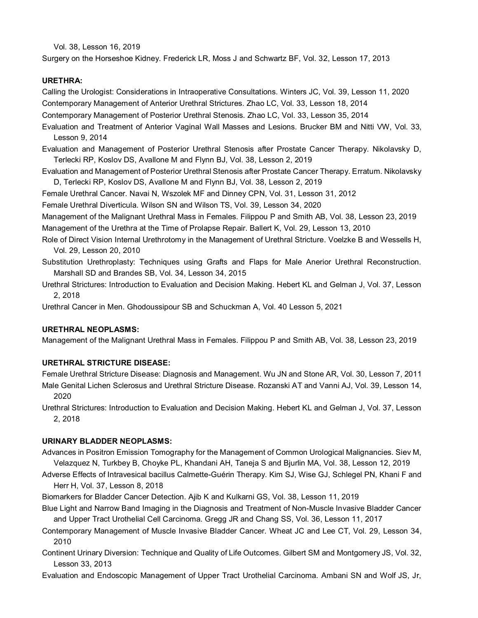Vol. 38, Lesson 16, 2019

Surgery on the Horseshoe Kidney. Frederick LR, Moss J and Schwartz BF, Vol. 32, Lesson 17, 2013

### **URETHRA:**

Calling the Urologist: Considerations in Intraoperative Consultations. Winters JC, Vol. 39, Lesson 11, 2020 Contemporary Management of Anterior Urethral Strictures. Zhao LC, Vol. 33, Lesson 18, 2014 Contemporary Management of Posterior Urethral Stenosis. Zhao LC, Vol. 33, Lesson 35, 2014

Evaluation and Treatment of Anterior Vaginal Wall Masses and Lesions. Brucker BM and Nitti VW, Vol. 33, Lesson 9, 2014

Evaluation and Management of Posterior Urethral Stenosis after Prostate Cancer Therapy. Nikolavsky D, Terlecki RP, Koslov DS, Avallone M and Flynn BJ, Vol. 38, Lesson 2, 2019

Evaluation and Management of Posterior Urethral Stenosis after Prostate Cancer Therapy. Erratum. Nikolavsky D, Terlecki RP, Koslov DS, Avallone M and Flynn BJ, Vol. 38, Lesson 2, 2019

Female Urethral Cancer. Navai N, Wszolek MF and Dinney CPN, Vol. 31, Lesson 31, 2012

Female Urethral Diverticula. Wilson SN and Wilson TS, Vol. 39, Lesson 34, 2020

Management of the Malignant Urethral Mass in Females. Filippou P and Smith AB, Vol. 38, Lesson 23, 2019 Management of the Urethra at the Time of Prolapse Repair. Ballert K, Vol. 29, Lesson 13, 2010

- Role of Direct Vision Internal Urethrotomy in the Management of Urethral Stricture. Voelzke B and Wessells H, Vol. 29, Lesson 20, 2010
- Substitution Urethroplasty: Techniques using Grafts and Flaps for Male Anerior Urethral Reconstruction. Marshall SD and Brandes SB, Vol. 34, Lesson 34, 2015
- Urethral Strictures: Introduction to Evaluation and Decision Making. Hebert KL and Gelman J, Vol. 37, Lesson 2, 2018

Urethral Cancer in Men. Ghodoussipour SB and Schuckman A, Vol. 40 Lesson 5, 2021

### **URETHRAL NEOPLASMS:**

Management of the Malignant Urethral Mass in Females. Filippou P and Smith AB, Vol. 38, Lesson 23, 2019

### **URETHRAL STRICTURE DISEASE:**

Female Urethral Stricture Disease: Diagnosis and Management. Wu JN and Stone AR, Vol. 30, Lesson 7, 2011

- Male Genital Lichen Sclerosus and Urethral Stricture Disease. Rozanski AT and Vanni AJ, Vol. 39, Lesson 14, 2020
- Urethral Strictures: Introduction to Evaluation and Decision Making. Hebert KL and Gelman J, Vol. 37, Lesson 2, 2018

### **URINARY BLADDER NEOPLASMS:**

- Advances in Positron Emission Tomography for the Management of Common Urological Malignancies. Siev M, Velazquez N, Turkbey B, Choyke PL, Khandani AH, Taneja S and Bjurlin MA, Vol. 38, Lesson 12, 2019
- Adverse Effects of Intravesical bacillus Calmette-Guérin Therapy. Kim SJ, Wise GJ, Schlegel PN, Khani F and Herr H, Vol. 37, Lesson 8, 2018

Biomarkers for Bladder Cancer Detection. Ajib K and Kulkarni GS, Vol. 38, Lesson 11, 2019

- Blue Light and Narrow Band Imaging in the Diagnosis and Treatment of Non-Muscle Invasive Bladder Cancer and Upper Tract Urothelial Cell Carcinoma. Gregg JR and Chang SS, Vol. 36, Lesson 11, 2017
- Contemporary Management of Muscle Invasive Bladder Cancer. Wheat JC and Lee CT, Vol. 29, Lesson 34, 2010
- Continent Urinary Diversion: Technique and Quality of Life Outcomes. Gilbert SM and Montgomery JS, Vol. 32, Lesson 33, 2013
- Evaluation and Endoscopic Management of Upper Tract Urothelial Carcinoma. Ambani SN and Wolf JS, Jr,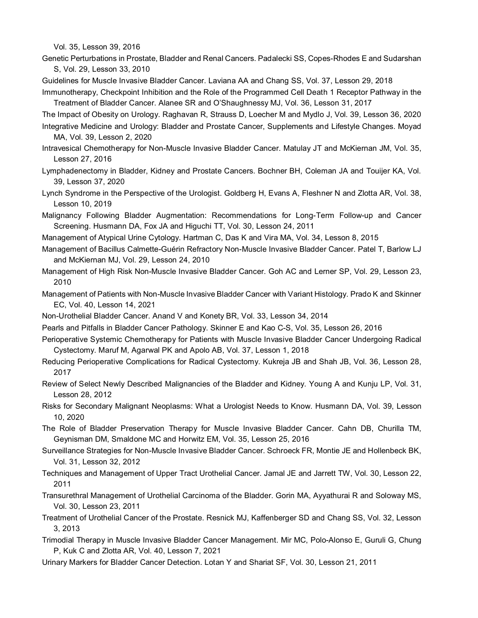Vol. 35, Lesson 39, 2016

- Genetic Perturbations in Prostate, Bladder and Renal Cancers. Padalecki SS, Copes-Rhodes E and Sudarshan S, Vol. 29, Lesson 33, 2010
- Guidelines for Muscle Invasive Bladder Cancer. Laviana AA and Chang SS, Vol. 37, Lesson 29, 2018 Immunotherapy, Checkpoint Inhibition and the Role of the Programmed Cell Death 1 Receptor Pathway in the

Treatment of Bladder Cancer. Alanee SR and O'Shaughnessy MJ, Vol. 36, Lesson 31, 2017

The Impact of Obesity on Urology. Raghavan R, Strauss D, Loecher M and Mydlo J, Vol. 39, Lesson 36, 2020 Integrative Medicine and Urology: Bladder and Prostate Cancer, Supplements and Lifestyle Changes. Moyad

- MA, Vol. 39, Lesson 2, 2020
- Intravesical Chemotherapy for Non-Muscle Invasive Bladder Cancer. Matulay JT and McKiernan JM, Vol. 35, Lesson 27, 2016
- Lymphadenectomy in Bladder, Kidney and Prostate Cancers. Bochner BH, Coleman JA and Touijer KA, Vol. 39, Lesson 37, 2020
- Lynch Syndrome in the Perspective of the Urologist. Goldberg H, Evans A, Fleshner N and Zlotta AR, Vol. 38, Lesson 10, 2019
- Malignancy Following Bladder Augmentation: Recommendations for Long-Term Follow-up and Cancer Screening. Husmann DA, Fox JA and Higuchi TT, Vol. 30, Lesson 24, 2011
- Management of Atypical Urine Cytology. Hartman C, Das K and Vira MA, Vol. 34, Lesson 8, 2015
- Management of Bacillus Calmette-Guérin Refractory Non-Muscle Invasive Bladder Cancer. Patel T, Barlow LJ and McKiernan MJ, Vol. 29, Lesson 24, 2010
- Management of High Risk Non-Muscle Invasive Bladder Cancer. Goh AC and Lerner SP, Vol. 29, Lesson 23, 2010
- Management of Patients with Non-Muscle Invasive Bladder Cancer with Variant Histology. Prado K and Skinner EC, Vol. 40, Lesson 14, 2021
- Non-Urothelial Bladder Cancer. Anand V and Konety BR, Vol. 33, Lesson 34, 2014
- Pearls and Pitfalls in Bladder Cancer Pathology. Skinner E and Kao C-S, Vol. 35, Lesson 26, 2016
- Perioperative Systemic Chemotherapy for Patients with Muscle Invasive Bladder Cancer Undergoing Radical Cystectomy. Maruf M, Agarwal PK and Apolo AB, Vol. 37, Lesson 1, 2018
- Reducing Perioperative Complications for Radical Cystectomy. Kukreja JB and Shah JB, Vol. 36, Lesson 28, 2017
- Review of Select Newly Described Malignancies of the Bladder and Kidney. Young A and Kunju LP, Vol. 31, Lesson 28, 2012
- Risks for Secondary Malignant Neoplasms: What a Urologist Needs to Know. Husmann DA, Vol. 39, Lesson 10, 2020
- The Role of Bladder Preservation Therapy for Muscle Invasive Bladder Cancer. Cahn DB, Churilla TM, Geynisman DM, Smaldone MC and Horwitz EM, Vol. 35, Lesson 25, 2016
- Surveillance Strategies for Non-Muscle Invasive Bladder Cancer. Schroeck FR, Montie JE and Hollenbeck BK, Vol. 31, Lesson 32, 2012
- Techniques and Management of Upper Tract Urothelial Cancer. Jamal JE and Jarrett TW, Vol. 30, Lesson 22, 2011
- Transurethral Management of Urothelial Carcinoma of the Bladder. Gorin MA, Ayyathurai R and Soloway MS, Vol. 30, Lesson 23, 2011
- Treatment of Urothelial Cancer of the Prostate. Resnick MJ, Kaffenberger SD and Chang SS, Vol. 32, Lesson 3, 2013
- Trimodial Therapy in Muscle Invasive Bladder Cancer Management. Mir MC, Polo-Alonso E, Guruli G, Chung P, Kuk C and Zlotta AR, Vol. 40, Lesson 7, 2021
- Urinary Markers for Bladder Cancer Detection. Lotan Y and Shariat SF, Vol. 30, Lesson 21, 2011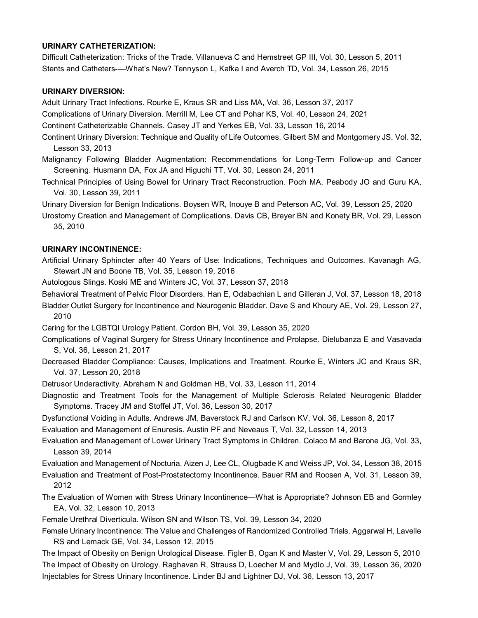#### **URINARY CATHETERIZATION:**

Difficult Catheterization: Tricks of the Trade. Villanueva C and Hemstreet GP III, Vol. 30, Lesson 5, 2011 Stents and Catheters-—What's New? Tennyson L, Kafka I and Averch TD, Vol. 34, Lesson 26, 2015

#### **URINARY DIVERSION:**

Adult Urinary Tract Infections. Rourke E, Kraus SR and Liss MA, Vol. 36, Lesson 37, 2017

Complications of Urinary Diversion. Merrill M, Lee CT and Pohar KS, Vol. 40, Lesson 24, 2021

- Continent Catheterizable Channels. Casey JT and Yerkes EB, Vol. 33, Lesson 16, 2014
- Continent Urinary Diversion: Technique and Quality of Life Outcomes. Gilbert SM and Montgomery JS, Vol. 32, Lesson 33, 2013
- Malignancy Following Bladder Augmentation: Recommendations for Long-Term Follow-up and Cancer Screening. Husmann DA, Fox JA and Higuchi TT, Vol. 30, Lesson 24, 2011
- Technical Principles of Using Bowel for Urinary Tract Reconstruction. Poch MA, Peabody JO and Guru KA, Vol. 30, Lesson 39, 2011

Urinary Diversion for Benign Indications. Boysen WR, Inouye B and Peterson AC, Vol. 39, Lesson 25, 2020

Urostomy Creation and Management of Complications. Davis CB, Breyer BN and Konety BR, Vol. 29, Lesson 35, 2010

### **URINARY INCONTINENCE:**

2010

Artificial Urinary Sphincter after 40 Years of Use: Indications, Techniques and Outcomes. Kavanagh AG, Stewart JN and Boone TB, Vol. 35, Lesson 19, 2016

Autologous Slings. Koski ME and Winters JC, Vol. 37, Lesson 37, 2018

Behavioral Treatment of Pelvic Floor Disorders. Han E, Odabachian L and Gilleran J, Vol. 37, Lesson 18, 2018 Bladder Outlet Surgery for Incontinence and Neurogenic Bladder. Dave S and Khoury AE, Vol. 29, Lesson 27,

Caring for the LGBTQI Urology Patient. Cordon BH, Vol. 39, Lesson 35, 2020

- Complications of Vaginal Surgery for Stress Urinary Incontinence and Prolapse. Dielubanza E and Vasavada S, Vol. 36, Lesson 21, 2017
- Decreased Bladder Compliance: Causes, Implications and Treatment. Rourke E, Winters JC and Kraus SR, Vol. 37, Lesson 20, 2018
- Detrusor Underactivity. Abraham N and Goldman HB, Vol. 33, Lesson 11, 2014
- Diagnostic and Treatment Tools for the Management of Multiple Sclerosis Related Neurogenic Bladder Symptoms. Tracey JM and Stoffel JT, Vol. 36, Lesson 30, 2017
- Dysfunctional Voiding in Adults. Andrews JM, Baverstock RJ and Carlson KV, Vol. 36, Lesson 8, 2017

Evaluation and Management of Enuresis. Austin PF and Neveaus T, Vol. 32, Lesson 14, 2013

- Evaluation and Management of Lower Urinary Tract Symptoms in Children. Colaco M and Barone JG, Vol. 33, Lesson 39, 2014
- Evaluation and Management of Nocturia. Aizen J, Lee CL, Olugbade K and Weiss JP, Vol. 34, Lesson 38, 2015
- Evaluation and Treatment of Post-Prostatectomy Incontinence. Bauer RM and Roosen A, Vol. 31, Lesson 39, 2012
- The Evaluation of Women with Stress Urinary Incontinence—What is Appropriate? Johnson EB and Gormley EA, Vol. 32, Lesson 10, 2013
- Female Urethral Diverticula. Wilson SN and Wilson TS, Vol. 39, Lesson 34, 2020
- Female Urinary Incontinence: The Value and Challenges of Randomized Controlled Trials. Aggarwal H, Lavelle RS and Lemack GE, Vol. 34, Lesson 12, 2015

The Impact of Obesity on Benign Urological Disease. Figler B, Ogan K and Master V, Vol. 29, Lesson 5, 2010 The Impact of Obesity on Urology. Raghavan R, Strauss D, Loecher M and Mydlo J, Vol. 39, Lesson 36, 2020 Injectables for Stress Urinary Incontinence. Linder BJ and Lightner DJ, Vol. 36, Lesson 13, 2017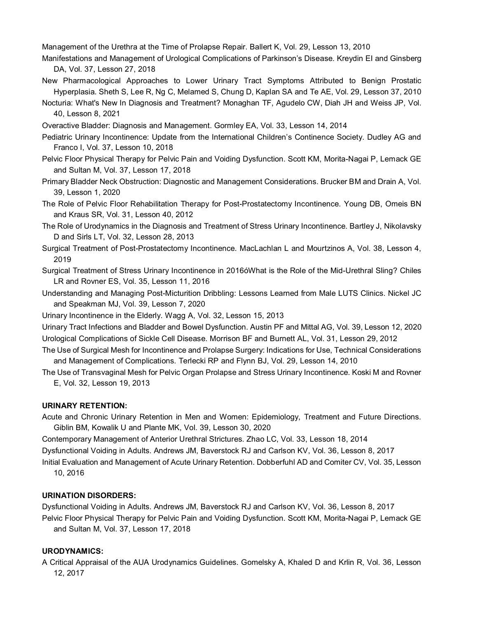Management of the Urethra at the Time of Prolapse Repair. Ballert K, Vol. 29, Lesson 13, 2010

- Manifestations and Management of Urological Complications of Parkinson's Disease. Kreydin EI and Ginsberg DA, Vol. 37, Lesson 27, 2018
- New Pharmacological Approaches to Lower Urinary Tract Symptoms Attributed to Benign Prostatic Hyperplasia. Sheth S, Lee R, Ng C, Melamed S, Chung D, Kaplan SA and Te AE, Vol. 29, Lesson 37, 2010
- Nocturia: What's New In Diagnosis and Treatment? Monaghan TF, Agudelo CW, Diah JH and Weiss JP, Vol. 40, Lesson 8, 2021
- Overactive Bladder: Diagnosis and Management. Gormley EA, Vol. 33, Lesson 14, 2014
- Pediatric Urinary Incontinence: Update from the International Children's Continence Society. Dudley AG and Franco I, Vol. 37, Lesson 10, 2018
- Pelvic Floor Physical Therapy for Pelvic Pain and Voiding Dysfunction. Scott KM, Morita-Nagai P, Lemack GE and Sultan M, Vol. 37, Lesson 17, 2018
- Primary Bladder Neck Obstruction: Diagnostic and Management Considerations. Brucker BM and Drain A, Vol. 39, Lesson 1, 2020
- The Role of Pelvic Floor Rehabilitation Therapy for Post-Prostatectomy Incontinence. Young DB, Omeis BN and Kraus SR, Vol. 31, Lesson 40, 2012
- The Role of Urodynamics in the Diagnosis and Treatment of Stress Urinary Incontinence. Bartley J, Nikolavsky D and Sirls LT, Vol. 32, Lesson 28, 2013
- Surgical Treatment of Post-Prostatectomy Incontinence. MacLachlan L and Mourtzinos A, Vol. 38, Lesson 4, 2019
- Surgical Treatment of Stress Urinary Incontinence in 2016óWhat is the Role of the Mid-Urethral Sling? Chiles LR and Rovner ES, Vol. 35, Lesson 11, 2016
- Understanding and Managing Post-Micturition Dribbling: Lessons Learned from Male LUTS Clinics. Nickel JC and Speakman MJ, Vol. 39, Lesson 7, 2020

Urinary Incontinence in the Elderly. Wagg A, Vol. 32, Lesson 15, 2013

Urinary Tract Infections and Bladder and Bowel Dysfunction. Austin PF and Mittal AG, Vol. 39, Lesson 12, 2020 Urological Complications of Sickle Cell Disease. Morrison BF and Burnett AL, Vol. 31, Lesson 29, 2012

- The Use of Surgical Mesh for Incontinence and Prolapse Surgery: Indications for Use, Technical Considerations and Management of Complications. Terlecki RP and Flynn BJ, Vol. 29, Lesson 14, 2010
- The Use of Transvaginal Mesh for Pelvic Organ Prolapse and Stress Urinary Incontinence. Koski M and Rovner E, Vol. 32, Lesson 19, 2013

### **URINARY RETENTION:**

- Acute and Chronic Urinary Retention in Men and Women: Epidemiology, Treatment and Future Directions. Giblin BM, Kowalik U and Plante MK, Vol. 39, Lesson 30, 2020
- Contemporary Management of Anterior Urethral Strictures. Zhao LC, Vol. 33, Lesson 18, 2014
- Dysfunctional Voiding in Adults. Andrews JM, Baverstock RJ and Carlson KV, Vol. 36, Lesson 8, 2017

Initial Evaluation and Management of Acute Urinary Retention. Dobberfuhl AD and Comiter CV, Vol. 35, Lesson 10, 2016

### **URINATION DISORDERS:**

Dysfunctional Voiding in Adults. Andrews JM, Baverstock RJ and Carlson KV, Vol. 36, Lesson 8, 2017

Pelvic Floor Physical Therapy for Pelvic Pain and Voiding Dysfunction. Scott KM, Morita-Nagai P, Lemack GE and Sultan M, Vol. 37, Lesson 17, 2018

### **URODYNAMICS:**

A Critical Appraisal of the AUA Urodynamics Guidelines. Gomelsky A, Khaled D and Krlin R, Vol. 36, Lesson 12, 2017